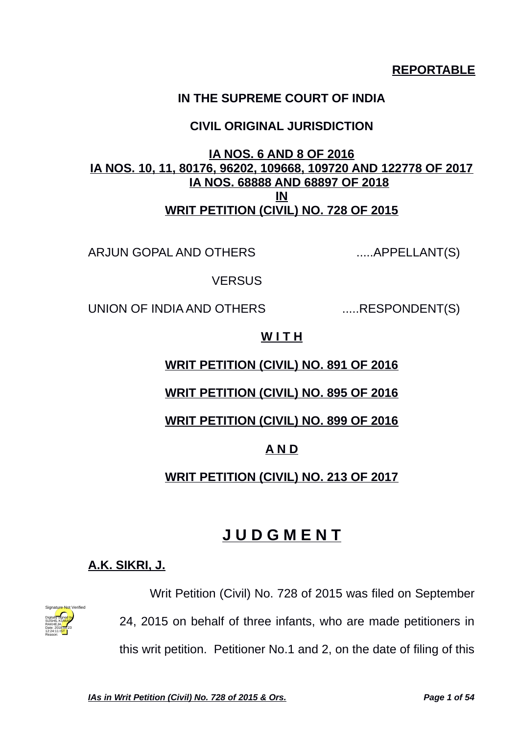## **REPORTABLE**

## **IN THE SUPREME COURT OF INDIA**

## **CIVIL ORIGINAL JURISDICTION**

## **IA NOS. 6 AND 8 OF 2016 IA NOS. 10, 11, 80176, 96202, 109668, 109720 AND 122778 OF 2017 IA NOS. 68888 AND 68897 OF 2018 IN WRIT PETITION (CIVIL) NO. 728 OF 2015**

ARJUN GOPAL AND OTHERS .......APPELLANT(S)

**VERSUS** 

UNION OF INDIA AND OTHERS ......RESPONDENT(S)

#### **W I T H**

#### **WRIT PETITION (CIVIL) NO. 891 OF 2016**

## **WRIT PETITION (CIVIL) NO. 895 OF 2016**

#### **WRIT PETITION (CIVIL) NO. 899 OF 2016**

## **A N D**

## **WRIT PETITION (CIVIL) NO. 213 OF 2017**

# **J U D G M E N T**

## **A.K. SIKRI, J.**



Writ Petition (Civil) No. 728 of 2015 was filed on September 24, 2015 on behalf of three infants, who are made petitioners in this writ petition. Petitioner No.1 and 2, on the date of filing of this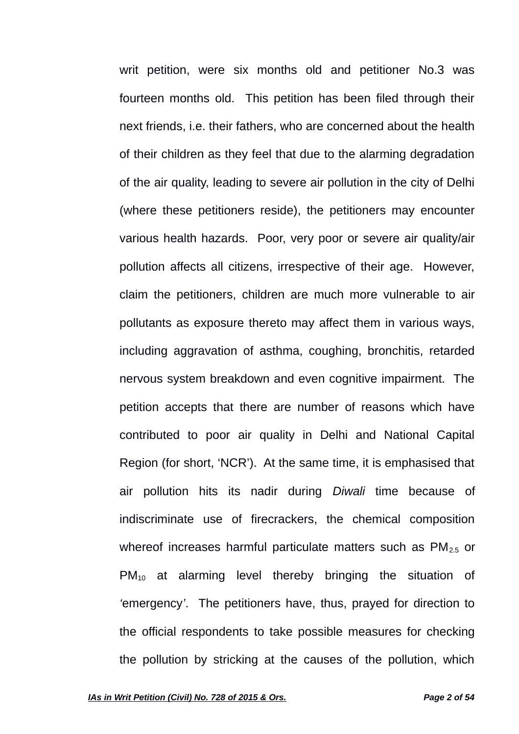writ petition, were six months old and petitioner No.3 was fourteen months old. This petition has been filed through their next friends, i.e. their fathers, who are concerned about the health of their children as they feel that due to the alarming degradation of the air quality, leading to severe air pollution in the city of Delhi (where these petitioners reside), the petitioners may encounter various health hazards. Poor, very poor or severe air quality/air pollution affects all citizens, irrespective of their age. However, claim the petitioners, children are much more vulnerable to air pollutants as exposure thereto may affect them in various ways, including aggravation of asthma, coughing, bronchitis, retarded nervous system breakdown and even cognitive impairment. The petition accepts that there are number of reasons which have contributed to poor air quality in Delhi and National Capital Region (for short, 'NCR'). At the same time, it is emphasised that air pollution hits its nadir during *Diwali* time because of indiscriminate use of firecrackers, the chemical composition whereof increases harmful particulate matters such as  $PM_{2.5}$  or  $PM_{10}$  at alarming level thereby bringing the situation of *'*emergency*'*. The petitioners have, thus, prayed for direction to the official respondents to take possible measures for checking the pollution by stricking at the causes of the pollution, which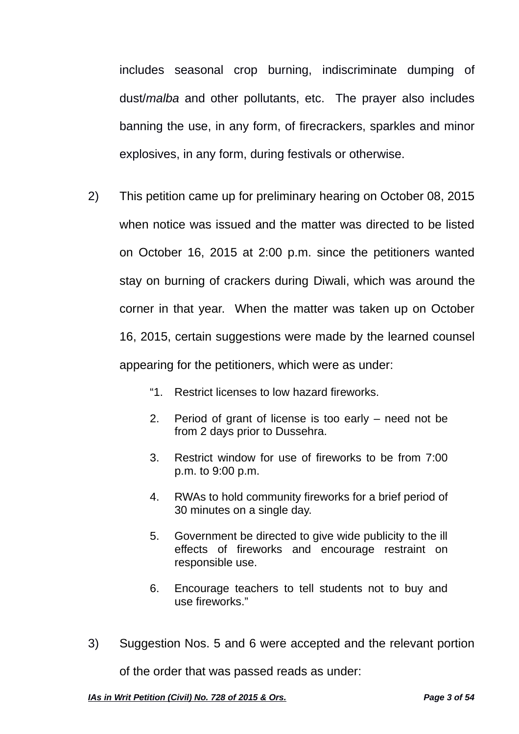includes seasonal crop burning, indiscriminate dumping of dust/*malba* and other pollutants, etc. The prayer also includes banning the use, in any form, of firecrackers, sparkles and minor explosives, in any form, during festivals or otherwise.

- 2) This petition came up for preliminary hearing on October 08, 2015 when notice was issued and the matter was directed to be listed on October 16, 2015 at 2:00 p.m. since the petitioners wanted stay on burning of crackers during Diwali, which was around the corner in that year. When the matter was taken up on October 16, 2015, certain suggestions were made by the learned counsel appearing for the petitioners, which were as under:
	- "1. Restrict licenses to low hazard fireworks.
	- 2. Period of grant of license is too early need not be from 2 days prior to Dussehra.
	- 3. Restrict window for use of fireworks to be from 7:00 p.m. to 9:00 p.m.
	- 4. RWAs to hold community fireworks for a brief period of 30 minutes on a single day.
	- 5. Government be directed to give wide publicity to the ill effects of fireworks and encourage restraint on responsible use.
	- 6. Encourage teachers to tell students not to buy and use fireworks."
- 3) Suggestion Nos. 5 and 6 were accepted and the relevant portion

of the order that was passed reads as under: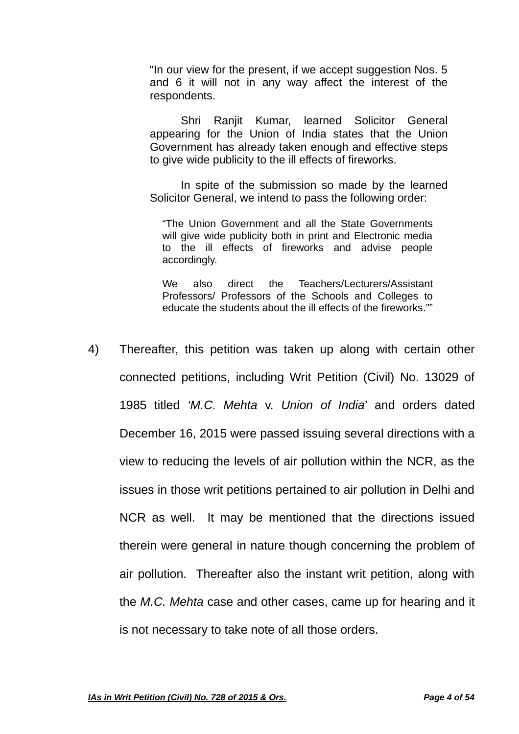"In our view for the present, if we accept suggestion Nos. 5 and 6 it will not in any way affect the interest of the respondents.

Shri Ranjit Kumar, learned Solicitor General appearing for the Union of India states that the Union Government has already taken enough and effective steps to give wide publicity to the ill effects of fireworks.

In spite of the submission so made by the learned Solicitor General, we intend to pass the following order:

"The Union Government and all the State Governments will give wide publicity both in print and Electronic media to the ill effects of fireworks and advise people accordingly.

We also direct the Teachers/Lecturers/Assistant Professors/ Professors of the Schools and Colleges to educate the students about the ill effects of the fireworks.""

4) Thereafter, this petition was taken up along with certain other connected petitions, including Writ Petition (Civil) No. 13029 of 1985 titled *'M.C. Mehta* v. *Union of India*' and orders dated December 16, 2015 were passed issuing several directions with a view to reducing the levels of air pollution within the NCR, as the issues in those writ petitions pertained to air pollution in Delhi and NCR as well. It may be mentioned that the directions issued therein were general in nature though concerning the problem of air pollution. Thereafter also the instant writ petition, along with the *M.C. Mehta* case and other cases, came up for hearing and it is not necessary to take note of all those orders.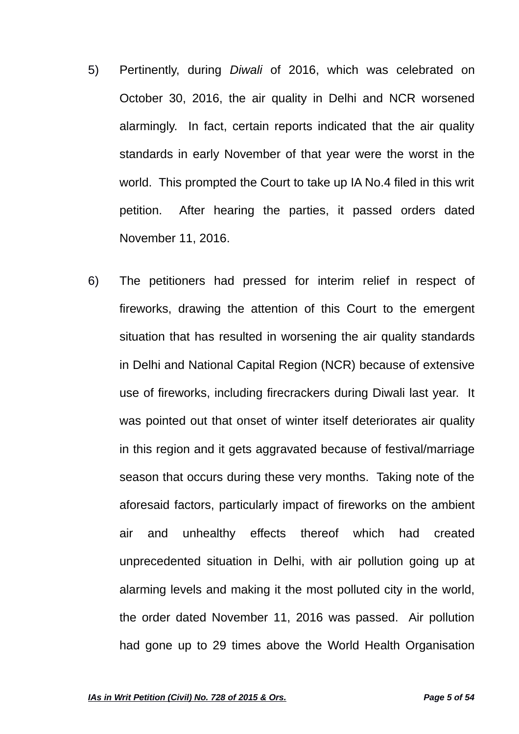- 5) Pertinently, during *Diwali* of 2016, which was celebrated on October 30, 2016, the air quality in Delhi and NCR worsened alarmingly. In fact, certain reports indicated that the air quality standards in early November of that year were the worst in the world. This prompted the Court to take up IA No.4 filed in this writ petition. After hearing the parties, it passed orders dated November 11, 2016.
- 6) The petitioners had pressed for interim relief in respect of fireworks, drawing the attention of this Court to the emergent situation that has resulted in worsening the air quality standards in Delhi and National Capital Region (NCR) because of extensive use of fireworks, including firecrackers during Diwali last year. It was pointed out that onset of winter itself deteriorates air quality in this region and it gets aggravated because of festival/marriage season that occurs during these very months. Taking note of the aforesaid factors, particularly impact of fireworks on the ambient air and unhealthy effects thereof which had created unprecedented situation in Delhi, with air pollution going up at alarming levels and making it the most polluted city in the world, the order dated November 11, 2016 was passed. Air pollution had gone up to 29 times above the World Health Organisation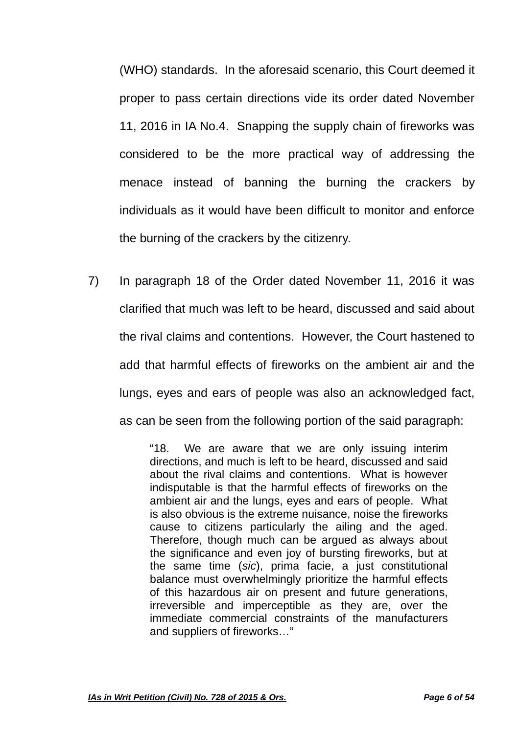(WHO) standards. In the aforesaid scenario, this Court deemed it proper to pass certain directions vide its order dated November 11, 2016 in IA No.4. Snapping the supply chain of fireworks was considered to be the more practical way of addressing the menace instead of banning the burning the crackers by individuals as it would have been difficult to monitor and enforce the burning of the crackers by the citizenry.

7) In paragraph 18 of the Order dated November 11, 2016 it was clarified that much was left to be heard, discussed and said about the rival claims and contentions. However, the Court hastened to add that harmful effects of fireworks on the ambient air and the lungs, eyes and ears of people was also an acknowledged fact, as can be seen from the following portion of the said paragraph:

> "18. We are aware that we are only issuing interim directions, and much is left to be heard, discussed and said about the rival claims and contentions. What is however indisputable is that the harmful effects of fireworks on the ambient air and the lungs, eyes and ears of people. What is also obvious is the extreme nuisance, noise the fireworks cause to citizens particularly the ailing and the aged. Therefore, though much can be argued as always about the significance and even joy of bursting fireworks, but at the same time (*sic*), prima facie, a just constitutional balance must overwhelmingly prioritize the harmful effects of this hazardous air on present and future generations, irreversible and imperceptible as they are, over the immediate commercial constraints of the manufacturers and suppliers of fireworks…"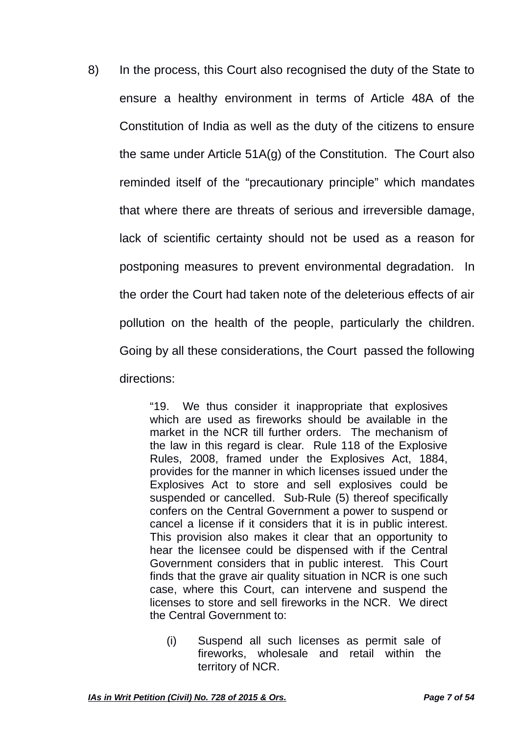8) In the process, this Court also recognised the duty of the State to ensure a healthy environment in terms of Article 48A of the Constitution of India as well as the duty of the citizens to ensure the same under Article 51A(g) of the Constitution. The Court also reminded itself of the "precautionary principle" which mandates that where there are threats of serious and irreversible damage, lack of scientific certainty should not be used as a reason for postponing measures to prevent environmental degradation. In the order the Court had taken note of the deleterious effects of air pollution on the health of the people, particularly the children. Going by all these considerations, the Court passed the following directions:

> "19. We thus consider it inappropriate that explosives which are used as fireworks should be available in the market in the NCR till further orders. The mechanism of the law in this regard is clear. Rule 118 of the Explosive Rules, 2008, framed under the Explosives Act, 1884, provides for the manner in which licenses issued under the Explosives Act to store and sell explosives could be suspended or cancelled. Sub-Rule (5) thereof specifically confers on the Central Government a power to suspend or cancel a license if it considers that it is in public interest. This provision also makes it clear that an opportunity to hear the licensee could be dispensed with if the Central Government considers that in public interest. This Court finds that the grave air quality situation in NCR is one such case, where this Court, can intervene and suspend the licenses to store and sell fireworks in the NCR. We direct the Central Government to:

(i) Suspend all such licenses as permit sale of fireworks, wholesale and retail within the territory of NCR.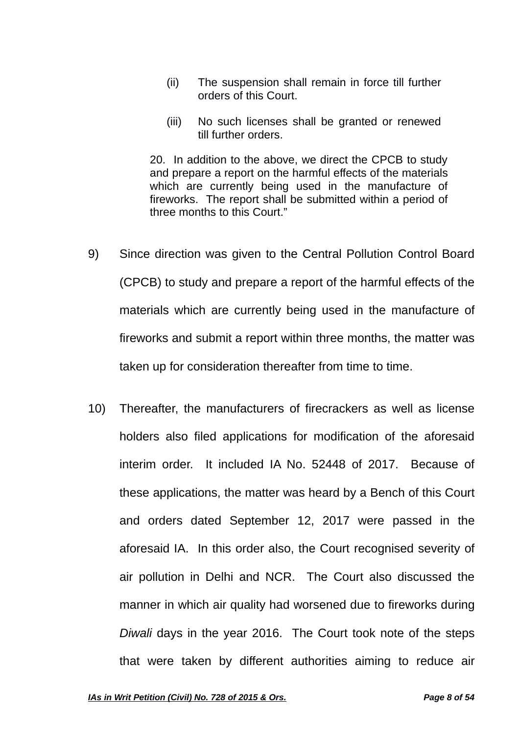- (ii) The suspension shall remain in force till further orders of this Court.
- (iii) No such licenses shall be granted or renewed till further orders.

20. In addition to the above, we direct the CPCB to study and prepare a report on the harmful effects of the materials which are currently being used in the manufacture of fireworks. The report shall be submitted within a period of three months to this Court."

- 9) Since direction was given to the Central Pollution Control Board (CPCB) to study and prepare a report of the harmful effects of the materials which are currently being used in the manufacture of fireworks and submit a report within three months, the matter was taken up for consideration thereafter from time to time.
- 10) Thereafter, the manufacturers of firecrackers as well as license holders also filed applications for modification of the aforesaid interim order. It included IA No. 52448 of 2017. Because of these applications, the matter was heard by a Bench of this Court and orders dated September 12, 2017 were passed in the aforesaid IA. In this order also, the Court recognised severity of air pollution in Delhi and NCR. The Court also discussed the manner in which air quality had worsened due to fireworks during *Diwali* days in the year 2016. The Court took note of the steps that were taken by different authorities aiming to reduce air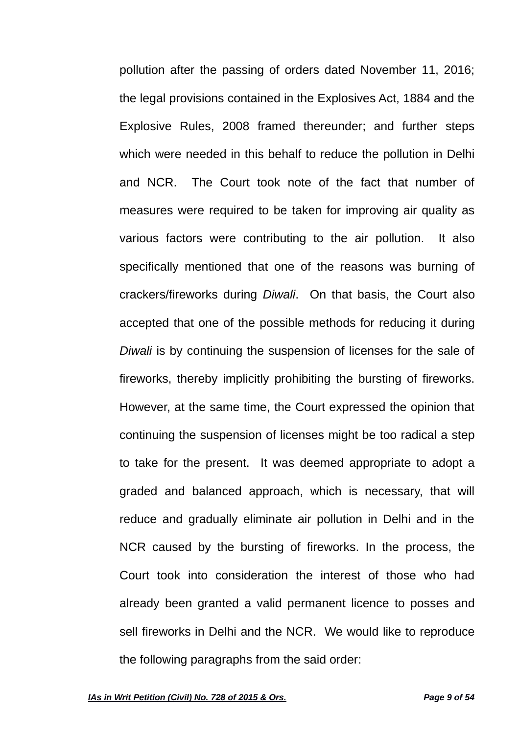pollution after the passing of orders dated November 11, 2016; the legal provisions contained in the Explosives Act, 1884 and the Explosive Rules, 2008 framed thereunder; and further steps which were needed in this behalf to reduce the pollution in Delhi and NCR. The Court took note of the fact that number of measures were required to be taken for improving air quality as various factors were contributing to the air pollution. It also specifically mentioned that one of the reasons was burning of crackers/fireworks during *Diwali*. On that basis, the Court also accepted that one of the possible methods for reducing it during *Diwali* is by continuing the suspension of licenses for the sale of fireworks, thereby implicitly prohibiting the bursting of fireworks. However, at the same time, the Court expressed the opinion that continuing the suspension of licenses might be too radical a step to take for the present. It was deemed appropriate to adopt a graded and balanced approach, which is necessary, that will reduce and gradually eliminate air pollution in Delhi and in the NCR caused by the bursting of fireworks. In the process, the Court took into consideration the interest of those who had already been granted a valid permanent licence to posses and sell fireworks in Delhi and the NCR. We would like to reproduce the following paragraphs from the said order: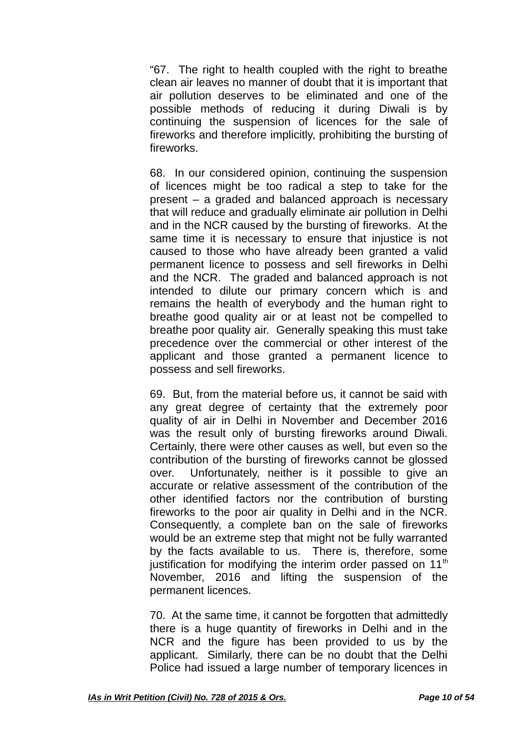"67. The right to health coupled with the right to breathe clean air leaves no manner of doubt that it is important that air pollution deserves to be eliminated and one of the possible methods of reducing it during Diwali is by continuing the suspension of licences for the sale of fireworks and therefore implicitly, prohibiting the bursting of fireworks.

68. In our considered opinion, continuing the suspension of licences might be too radical a step to take for the present – a graded and balanced approach is necessary that will reduce and gradually eliminate air pollution in Delhi and in the NCR caused by the bursting of fireworks. At the same time it is necessary to ensure that injustice is not caused to those who have already been granted a valid permanent licence to possess and sell fireworks in Delhi and the NCR. The graded and balanced approach is not intended to dilute our primary concern which is and remains the health of everybody and the human right to breathe good quality air or at least not be compelled to breathe poor quality air. Generally speaking this must take precedence over the commercial or other interest of the applicant and those granted a permanent licence to possess and sell fireworks.

69. But, from the material before us, it cannot be said with any great degree of certainty that the extremely poor quality of air in Delhi in November and December 2016 was the result only of bursting fireworks around Diwali. Certainly, there were other causes as well, but even so the contribution of the bursting of fireworks cannot be glossed over. Unfortunately, neither is it possible to give an accurate or relative assessment of the contribution of the other identified factors nor the contribution of bursting fireworks to the poor air quality in Delhi and in the NCR. Consequently, a complete ban on the sale of fireworks would be an extreme step that might not be fully warranted by the facts available to us. There is, therefore, some justification for modifying the interim order passed on  $11<sup>th</sup>$ November, 2016 and lifting the suspension of the permanent licences.

70. At the same time, it cannot be forgotten that admittedly there is a huge quantity of fireworks in Delhi and in the NCR and the figure has been provided to us by the applicant. Similarly, there can be no doubt that the Delhi Police had issued a large number of temporary licences in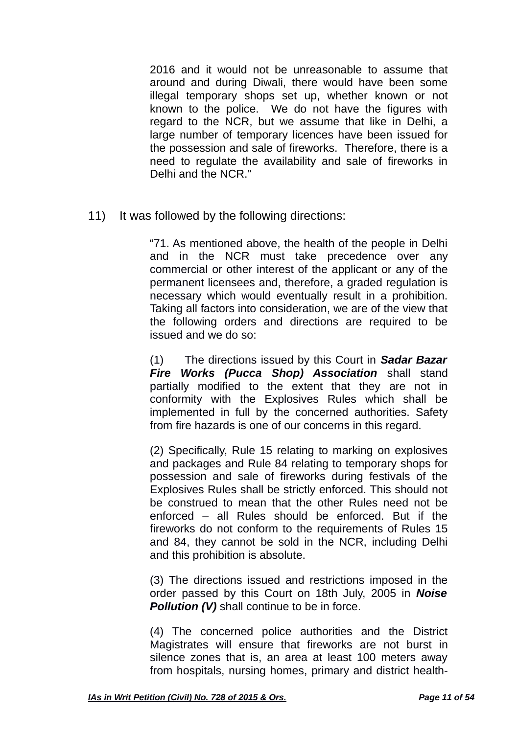2016 and it would not be unreasonable to assume that around and during Diwali, there would have been some illegal temporary shops set up, whether known or not known to the police. We do not have the figures with regard to the NCR, but we assume that like in Delhi, a large number of temporary licences have been issued for the possession and sale of fireworks. Therefore, there is a need to regulate the availability and sale of fireworks in Delhi and the NCR<sup>"</sup>

11) It was followed by the following directions:

"71. As mentioned above, the health of the people in Delhi and in the NCR must take precedence over any commercial or other interest of the applicant or any of the permanent licensees and, therefore, a graded regulation is necessary which would eventually result in a prohibition. Taking all factors into consideration, we are of the view that the following orders and directions are required to be issued and we do so:

(1) The directions issued by this Court in *Sadar Bazar Fire Works (Pucca Shop) Association* shall stand partially modified to the extent that they are not in conformity with the Explosives Rules which shall be implemented in full by the concerned authorities. Safety from fire hazards is one of our concerns in this regard.

(2) Specifically, Rule 15 relating to marking on explosives and packages and Rule 84 relating to temporary shops for possession and sale of fireworks during festivals of the Explosives Rules shall be strictly enforced. This should not be construed to mean that the other Rules need not be enforced – all Rules should be enforced. But if the fireworks do not conform to the requirements of Rules 15 and 84, they cannot be sold in the NCR, including Delhi and this prohibition is absolute.

(3) The directions issued and restrictions imposed in the order passed by this Court on 18th July, 2005 in *Noise Pollution (V)* shall continue to be in force.

(4) The concerned police authorities and the District Magistrates will ensure that fireworks are not burst in silence zones that is, an area at least 100 meters away from hospitals, nursing homes, primary and district health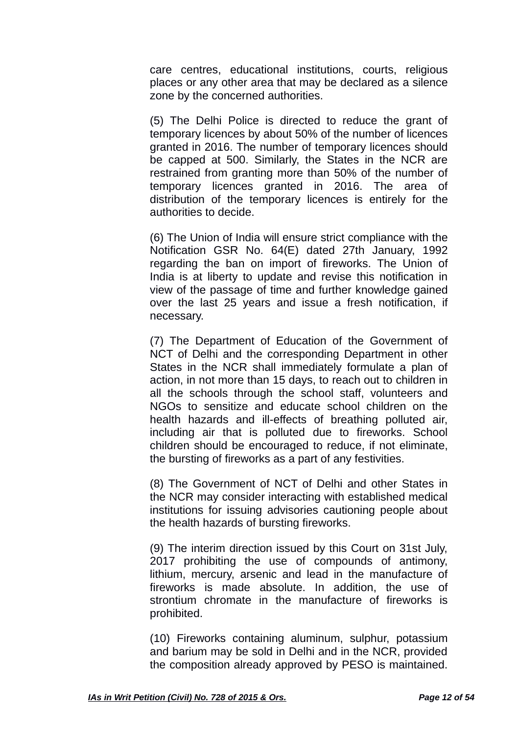care centres, educational institutions, courts, religious places or any other area that may be declared as a silence zone by the concerned authorities.

(5) The Delhi Police is directed to reduce the grant of temporary licences by about 50% of the number of licences granted in 2016. The number of temporary licences should be capped at 500. Similarly, the States in the NCR are restrained from granting more than 50% of the number of temporary licences granted in 2016. The area of distribution of the temporary licences is entirely for the authorities to decide.

(6) The Union of India will ensure strict compliance with the Notification GSR No. 64(E) dated 27th January, 1992 regarding the ban on import of fireworks. The Union of India is at liberty to update and revise this notification in view of the passage of time and further knowledge gained over the last 25 years and issue a fresh notification, if necessary.

(7) The Department of Education of the Government of NCT of Delhi and the corresponding Department in other States in the NCR shall immediately formulate a plan of action, in not more than 15 days, to reach out to children in all the schools through the school staff, volunteers and NGOs to sensitize and educate school children on the health hazards and ill-effects of breathing polluted air, including air that is polluted due to fireworks. School children should be encouraged to reduce, if not eliminate, the bursting of fireworks as a part of any festivities.

(8) The Government of NCT of Delhi and other States in the NCR may consider interacting with established medical institutions for issuing advisories cautioning people about the health hazards of bursting fireworks.

(9) The interim direction issued by this Court on 31st July, 2017 prohibiting the use of compounds of antimony, lithium, mercury, arsenic and lead in the manufacture of fireworks is made absolute. In addition, the use of strontium chromate in the manufacture of fireworks is prohibited.

(10) Fireworks containing aluminum, sulphur, potassium and barium may be sold in Delhi and in the NCR, provided the composition already approved by PESO is maintained.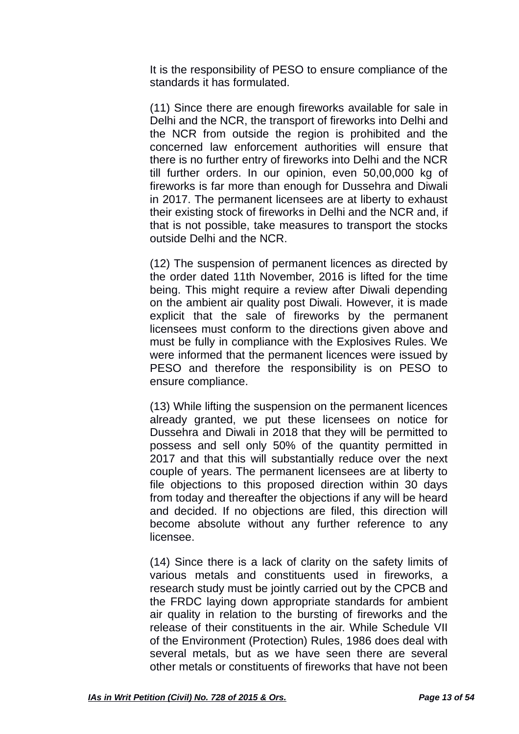It is the responsibility of PESO to ensure compliance of the standards it has formulated.

(11) Since there are enough fireworks available for sale in Delhi and the NCR, the transport of fireworks into Delhi and the NCR from outside the region is prohibited and the concerned law enforcement authorities will ensure that there is no further entry of fireworks into Delhi and the NCR till further orders. In our opinion, even 50,00,000 kg of fireworks is far more than enough for Dussehra and Diwali in 2017. The permanent licensees are at liberty to exhaust their existing stock of fireworks in Delhi and the NCR and, if that is not possible, take measures to transport the stocks outside Delhi and the NCR.

(12) The suspension of permanent licences as directed by the order dated 11th November, 2016 is lifted for the time being. This might require a review after Diwali depending on the ambient air quality post Diwali. However, it is made explicit that the sale of fireworks by the permanent licensees must conform to the directions given above and must be fully in compliance with the Explosives Rules. We were informed that the permanent licences were issued by PESO and therefore the responsibility is on PESO to ensure compliance.

(13) While lifting the suspension on the permanent licences already granted, we put these licensees on notice for Dussehra and Diwali in 2018 that they will be permitted to possess and sell only 50% of the quantity permitted in 2017 and that this will substantially reduce over the next couple of years. The permanent licensees are at liberty to file objections to this proposed direction within 30 days from today and thereafter the objections if any will be heard and decided. If no objections are filed, this direction will become absolute without any further reference to any licensee.

(14) Since there is a lack of clarity on the safety limits of various metals and constituents used in fireworks, a research study must be jointly carried out by the CPCB and the FRDC laying down appropriate standards for ambient air quality in relation to the bursting of fireworks and the release of their constituents in the air. While Schedule VII of the Environment (Protection) Rules, 1986 does deal with several metals, but as we have seen there are several other metals or constituents of fireworks that have not been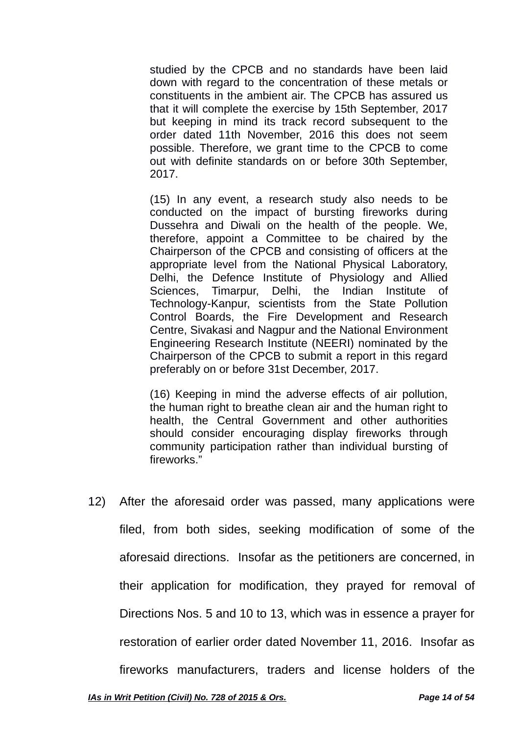studied by the CPCB and no standards have been laid down with regard to the concentration of these metals or constituents in the ambient air. The CPCB has assured us that it will complete the exercise by 15th September, 2017 but keeping in mind its track record subsequent to the order dated 11th November, 2016 this does not seem possible. Therefore, we grant time to the CPCB to come out with definite standards on or before 30th September, 2017.

(15) In any event, a research study also needs to be conducted on the impact of bursting fireworks during Dussehra and Diwali on the health of the people. We, therefore, appoint a Committee to be chaired by the Chairperson of the CPCB and consisting of officers at the appropriate level from the National Physical Laboratory, Delhi, the Defence Institute of Physiology and Allied Sciences, Timarpur, Delhi, the Indian Institute of Technology-Kanpur, scientists from the State Pollution Control Boards, the Fire Development and Research Centre, Sivakasi and Nagpur and the National Environment Engineering Research Institute (NEERI) nominated by the Chairperson of the CPCB to submit a report in this regard preferably on or before 31st December, 2017.

(16) Keeping in mind the adverse effects of air pollution, the human right to breathe clean air and the human right to health, the Central Government and other authorities should consider encouraging display fireworks through community participation rather than individual bursting of fireworks."

12) After the aforesaid order was passed, many applications were filed, from both sides, seeking modification of some of the aforesaid directions. Insofar as the petitioners are concerned, in their application for modification, they prayed for removal of Directions Nos. 5 and 10 to 13, which was in essence a prayer for restoration of earlier order dated November 11, 2016. Insofar as fireworks manufacturers, traders and license holders of the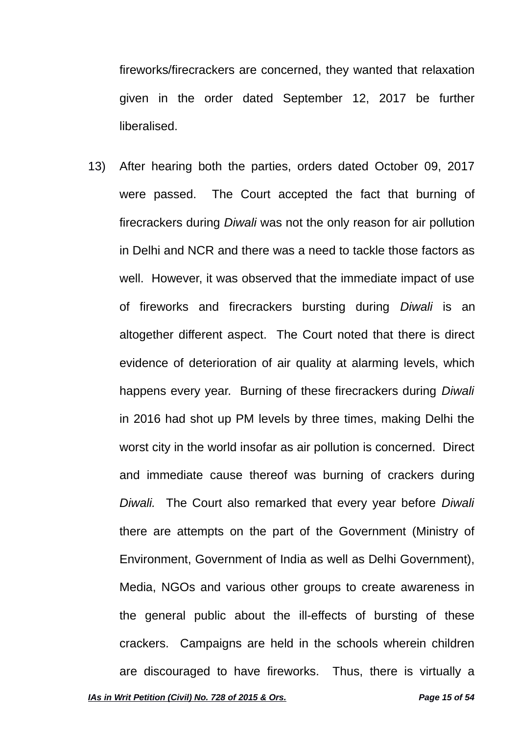fireworks/firecrackers are concerned, they wanted that relaxation given in the order dated September 12, 2017 be further liberalised.

13) After hearing both the parties, orders dated October 09, 2017 were passed. The Court accepted the fact that burning of firecrackers during *Diwali* was not the only reason for air pollution in Delhi and NCR and there was a need to tackle those factors as well. However, it was observed that the immediate impact of use of fireworks and firecrackers bursting during *Diwali* is an altogether different aspect. The Court noted that there is direct evidence of deterioration of air quality at alarming levels, which happens every year. Burning of these firecrackers during *Diwali* in 2016 had shot up PM levels by three times, making Delhi the worst city in the world insofar as air pollution is concerned. Direct and immediate cause thereof was burning of crackers during *Diwali.* The Court also remarked that every year before *Diwali* there are attempts on the part of the Government (Ministry of Environment, Government of India as well as Delhi Government), Media, NGOs and various other groups to create awareness in the general public about the ill-effects of bursting of these crackers. Campaigns are held in the schools wherein children are discouraged to have fireworks. Thus, there is virtually a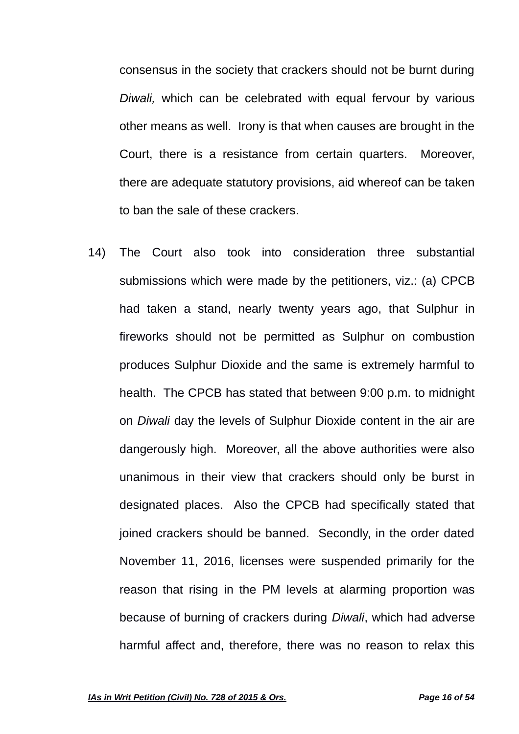consensus in the society that crackers should not be burnt during *Diwali,* which can be celebrated with equal fervour by various other means as well. Irony is that when causes are brought in the Court, there is a resistance from certain quarters. Moreover, there are adequate statutory provisions, aid whereof can be taken to ban the sale of these crackers.

14) The Court also took into consideration three substantial submissions which were made by the petitioners, viz.: (a) CPCB had taken a stand, nearly twenty years ago, that Sulphur in fireworks should not be permitted as Sulphur on combustion produces Sulphur Dioxide and the same is extremely harmful to health. The CPCB has stated that between 9:00 p.m. to midnight on *Diwali* day the levels of Sulphur Dioxide content in the air are dangerously high. Moreover, all the above authorities were also unanimous in their view that crackers should only be burst in designated places. Also the CPCB had specifically stated that joined crackers should be banned. Secondly, in the order dated November 11, 2016, licenses were suspended primarily for the reason that rising in the PM levels at alarming proportion was because of burning of crackers during *Diwali*, which had adverse harmful affect and, therefore, there was no reason to relax this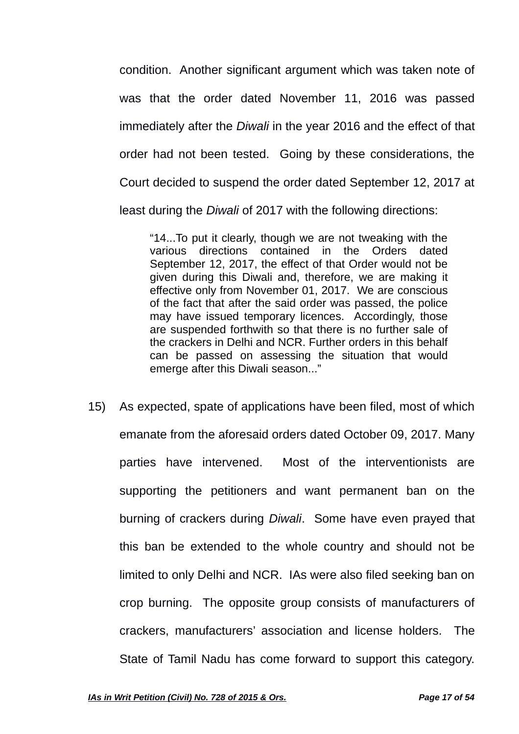condition. Another significant argument which was taken note of was that the order dated November 11, 2016 was passed immediately after the *Diwali* in the year 2016 and the effect of that order had not been tested. Going by these considerations, the Court decided to suspend the order dated September 12, 2017 at least during the *Diwali* of 2017 with the following directions:

"14...To put it clearly, though we are not tweaking with the various directions contained in the Orders dated September 12, 2017, the effect of that Order would not be given during this Diwali and, therefore, we are making it effective only from November 01, 2017. We are conscious of the fact that after the said order was passed, the police may have issued temporary licences. Accordingly, those are suspended forthwith so that there is no further sale of the crackers in Delhi and NCR. Further orders in this behalf can be passed on assessing the situation that would emerge after this Diwali season..."

15) As expected, spate of applications have been filed, most of which emanate from the aforesaid orders dated October 09, 2017. Many parties have intervened. Most of the interventionists are supporting the petitioners and want permanent ban on the burning of crackers during *Diwali*. Some have even prayed that this ban be extended to the whole country and should not be limited to only Delhi and NCR. IAs were also filed seeking ban on crop burning. The opposite group consists of manufacturers of crackers, manufacturers' association and license holders. The State of Tamil Nadu has come forward to support this category.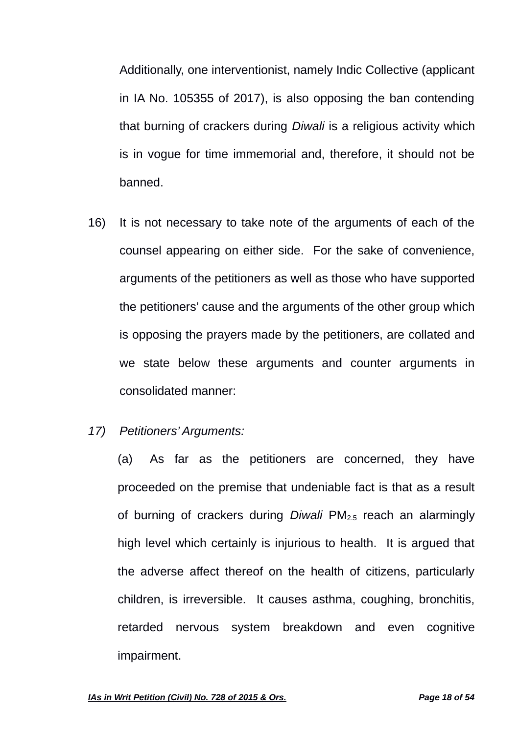Additionally, one interventionist, namely Indic Collective (applicant in IA No. 105355 of 2017), is also opposing the ban contending that burning of crackers during *Diwali* is a religious activity which is in vogue for time immemorial and, therefore, it should not be banned.

- 16) It is not necessary to take note of the arguments of each of the counsel appearing on either side. For the sake of convenience, arguments of the petitioners as well as those who have supported the petitioners' cause and the arguments of the other group which is opposing the prayers made by the petitioners, are collated and we state below these arguments and counter arguments in consolidated manner:
- *17) Petitioners' Arguments:*

(a) As far as the petitioners are concerned, they have proceeded on the premise that undeniable fact is that as a result of burning of crackers during *Diwali* PM2.5 reach an alarmingly high level which certainly is injurious to health. It is argued that the adverse affect thereof on the health of citizens, particularly children, is irreversible. It causes asthma, coughing, bronchitis, retarded nervous system breakdown and even cognitive impairment.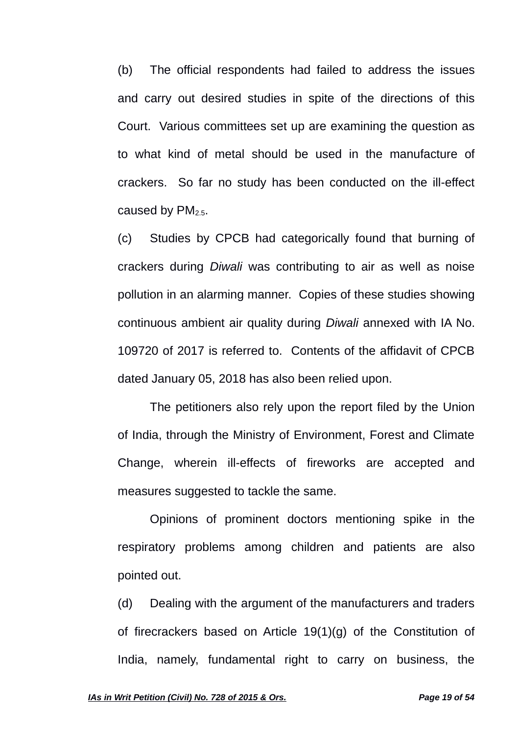(b) The official respondents had failed to address the issues and carry out desired studies in spite of the directions of this Court. Various committees set up are examining the question as to what kind of metal should be used in the manufacture of crackers. So far no study has been conducted on the ill-effect caused by  $PM_{2.5}$ .

(c) Studies by CPCB had categorically found that burning of crackers during *Diwali* was contributing to air as well as noise pollution in an alarming manner. Copies of these studies showing continuous ambient air quality during *Diwali* annexed with IA No. 109720 of 2017 is referred to. Contents of the affidavit of CPCB dated January 05, 2018 has also been relied upon.

The petitioners also rely upon the report filed by the Union of India, through the Ministry of Environment, Forest and Climate Change, wherein ill-effects of fireworks are accepted and measures suggested to tackle the same.

Opinions of prominent doctors mentioning spike in the respiratory problems among children and patients are also pointed out.

(d) Dealing with the argument of the manufacturers and traders of firecrackers based on Article 19(1)(g) of the Constitution of India, namely, fundamental right to carry on business, the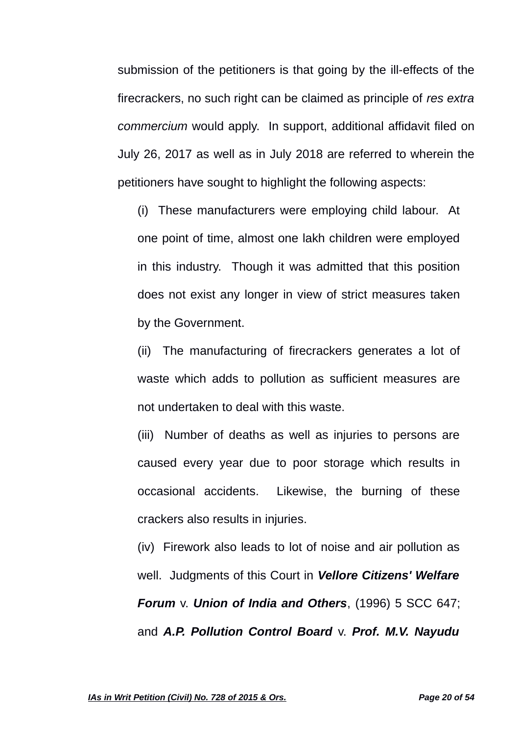submission of the petitioners is that going by the ill-effects of the firecrackers, no such right can be claimed as principle of *res extra commercium* would apply. In support, additional affidavit filed on July 26, 2017 as well as in July 2018 are referred to wherein the petitioners have sought to highlight the following aspects:

(i) These manufacturers were employing child labour. At one point of time, almost one lakh children were employed in this industry. Though it was admitted that this position does not exist any longer in view of strict measures taken by the Government.

(ii) The manufacturing of firecrackers generates a lot of waste which adds to pollution as sufficient measures are not undertaken to deal with this waste.

(iii) Number of deaths as well as injuries to persons are caused every year due to poor storage which results in occasional accidents. Likewise, the burning of these crackers also results in injuries.

(iv) Firework also leads to lot of noise and air pollution as well. Judgments of this Court in *Vellore Citizens' Welfare Forum* v. *Union of India and Others*, (1996) 5 SCC 647; and *A.P. Pollution Control Board* v. *Prof. M.V. Nayudu*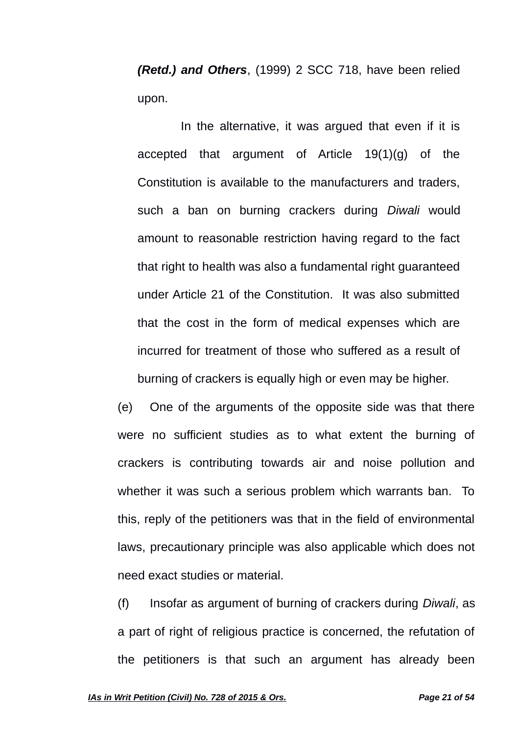*(Retd.) and Others*, (1999) 2 SCC 718, have been relied upon.

In the alternative, it was argued that even if it is accepted that argument of Article 19(1)(g) of the Constitution is available to the manufacturers and traders, such a ban on burning crackers during *Diwali* would amount to reasonable restriction having regard to the fact that right to health was also a fundamental right guaranteed under Article 21 of the Constitution. It was also submitted that the cost in the form of medical expenses which are incurred for treatment of those who suffered as a result of burning of crackers is equally high or even may be higher.

(e) One of the arguments of the opposite side was that there were no sufficient studies as to what extent the burning of crackers is contributing towards air and noise pollution and whether it was such a serious problem which warrants ban. To this, reply of the petitioners was that in the field of environmental laws, precautionary principle was also applicable which does not need exact studies or material.

(f) Insofar as argument of burning of crackers during *Diwali*, as a part of right of religious practice is concerned, the refutation of the petitioners is that such an argument has already been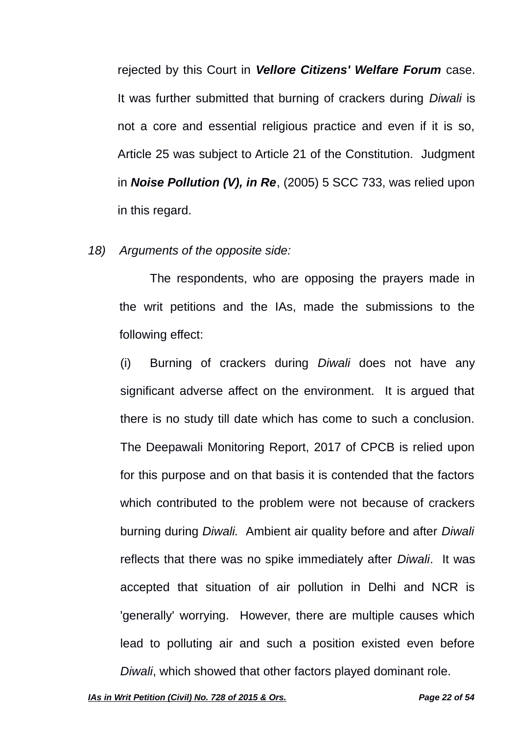rejected by this Court in *Vellore Citizens' Welfare Forum* case. It was further submitted that burning of crackers during *Diwali* is not a core and essential religious practice and even if it is so, Article 25 was subject to Article 21 of the Constitution. Judgment in *Noise Pollution (V), in Re*, (2005) 5 SCC 733, was relied upon in this regard.

*18) Arguments of the opposite side:*

The respondents, who are opposing the prayers made in the writ petitions and the IAs, made the submissions to the following effect:

(i) Burning of crackers during *Diwali* does not have any significant adverse affect on the environment. It is argued that there is no study till date which has come to such a conclusion. The Deepawali Monitoring Report, 2017 of CPCB is relied upon for this purpose and on that basis it is contended that the factors which contributed to the problem were not because of crackers burning during *Diwali.* Ambient air quality before and after *Diwali* reflects that there was no spike immediately after *Diwali*. It was accepted that situation of air pollution in Delhi and NCR is 'generally' worrying. However, there are multiple causes which lead to polluting air and such a position existed even before *Diwali*, which showed that other factors played dominant role.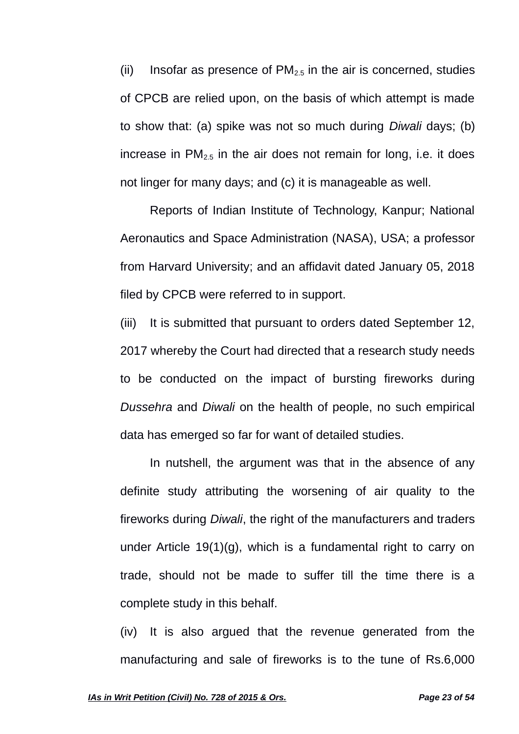(ii) Insofar as presence of  $PM<sub>2.5</sub>$  in the air is concerned, studies of CPCB are relied upon, on the basis of which attempt is made to show that: (a) spike was not so much during *Diwali* days; (b) increase in  $PM_{2.5}$  in the air does not remain for long, i.e. it does not linger for many days; and (c) it is manageable as well.

Reports of Indian Institute of Technology, Kanpur; National Aeronautics and Space Administration (NASA), USA; a professor from Harvard University; and an affidavit dated January 05, 2018 filed by CPCB were referred to in support.

(iii) It is submitted that pursuant to orders dated September 12, 2017 whereby the Court had directed that a research study needs to be conducted on the impact of bursting fireworks during *Dussehra* and *Diwali* on the health of people, no such empirical data has emerged so far for want of detailed studies.

In nutshell, the argument was that in the absence of any definite study attributing the worsening of air quality to the fireworks during *Diwali*, the right of the manufacturers and traders under Article 19(1)(g), which is a fundamental right to carry on trade, should not be made to suffer till the time there is a complete study in this behalf.

(iv) It is also argued that the revenue generated from the manufacturing and sale of fireworks is to the tune of Rs.6,000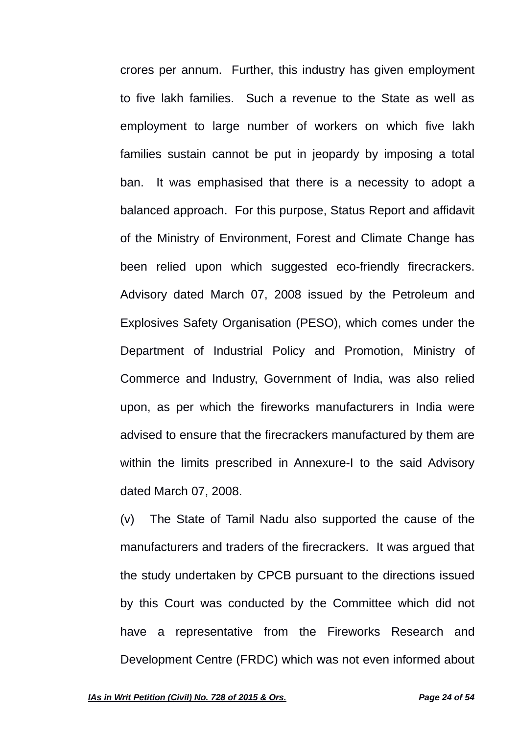crores per annum. Further, this industry has given employment to five lakh families. Such a revenue to the State as well as employment to large number of workers on which five lakh families sustain cannot be put in jeopardy by imposing a total ban. It was emphasised that there is a necessity to adopt a balanced approach. For this purpose, Status Report and affidavit of the Ministry of Environment, Forest and Climate Change has been relied upon which suggested eco-friendly firecrackers. Advisory dated March 07, 2008 issued by the Petroleum and Explosives Safety Organisation (PESO), which comes under the Department of Industrial Policy and Promotion, Ministry of Commerce and Industry, Government of India, was also relied upon, as per which the fireworks manufacturers in India were advised to ensure that the firecrackers manufactured by them are within the limits prescribed in Annexure-I to the said Advisory dated March 07, 2008.

(v) The State of Tamil Nadu also supported the cause of the manufacturers and traders of the firecrackers. It was argued that the study undertaken by CPCB pursuant to the directions issued by this Court was conducted by the Committee which did not have a representative from the Fireworks Research and Development Centre (FRDC) which was not even informed about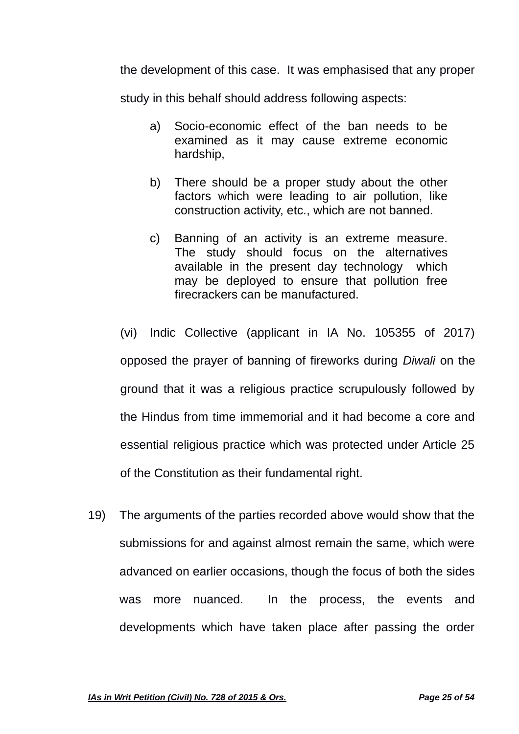the development of this case. It was emphasised that any proper

study in this behalf should address following aspects:

- a) Socio-economic effect of the ban needs to be examined as it may cause extreme economic hardship,
- b) There should be a proper study about the other factors which were leading to air pollution, like construction activity, etc., which are not banned.
- c) Banning of an activity is an extreme measure. The study should focus on the alternatives available in the present day technology which may be deployed to ensure that pollution free firecrackers can be manufactured.

(vi) Indic Collective (applicant in IA No. 105355 of 2017) opposed the prayer of banning of fireworks during *Diwali* on the ground that it was a religious practice scrupulously followed by the Hindus from time immemorial and it had become a core and essential religious practice which was protected under Article 25 of the Constitution as their fundamental right.

19) The arguments of the parties recorded above would show that the submissions for and against almost remain the same, which were advanced on earlier occasions, though the focus of both the sides was more nuanced. In the process, the events and developments which have taken place after passing the order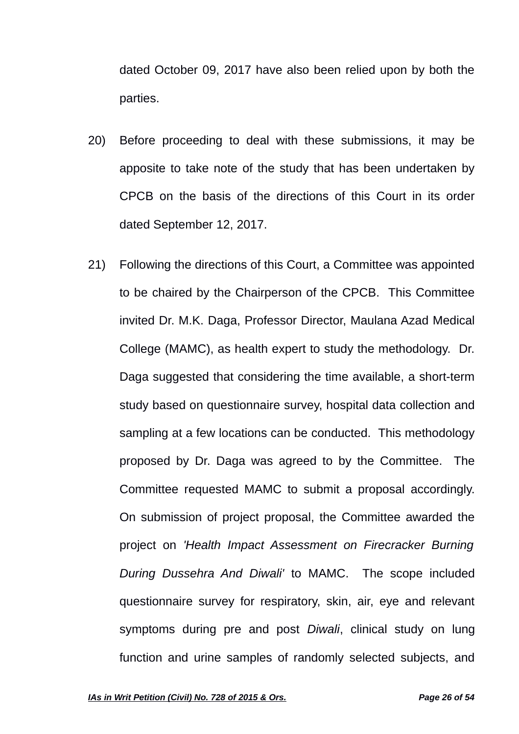dated October 09, 2017 have also been relied upon by both the parties.

- 20) Before proceeding to deal with these submissions, it may be apposite to take note of the study that has been undertaken by CPCB on the basis of the directions of this Court in its order dated September 12, 2017.
- 21) Following the directions of this Court, a Committee was appointed to be chaired by the Chairperson of the CPCB. This Committee invited Dr. M.K. Daga, Professor Director, Maulana Azad Medical College (MAMC), as health expert to study the methodology. Dr. Daga suggested that considering the time available, a short-term study based on questionnaire survey, hospital data collection and sampling at a few locations can be conducted. This methodology proposed by Dr. Daga was agreed to by the Committee. The Committee requested MAMC to submit a proposal accordingly. On submission of project proposal, the Committee awarded the project on *'Health Impact Assessment on Firecracker Burning During Dussehra And Diwali'* to MAMC. The scope included questionnaire survey for respiratory, skin, air, eye and relevant symptoms during pre and post *Diwali*, clinical study on lung function and urine samples of randomly selected subjects, and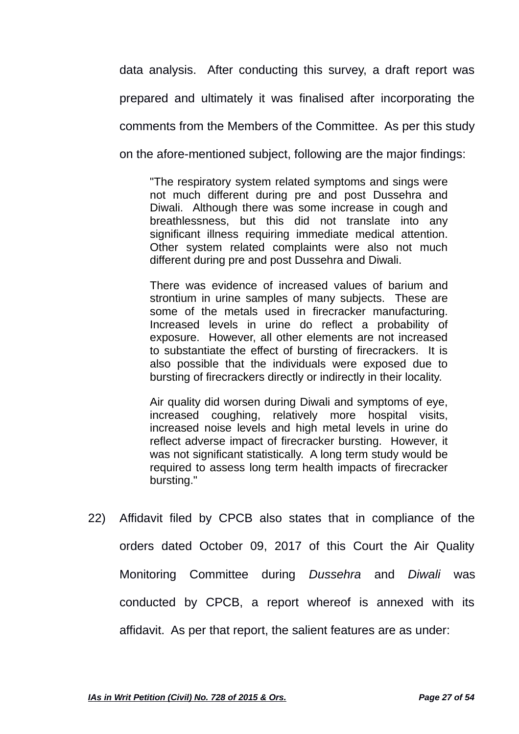data analysis. After conducting this survey, a draft report was prepared and ultimately it was finalised after incorporating the comments from the Members of the Committee. As per this study on the afore-mentioned subject, following are the major findings:

"The respiratory system related symptoms and sings were not much different during pre and post Dussehra and Diwali. Although there was some increase in cough and breathlessness, but this did not translate into any significant illness requiring immediate medical attention. Other system related complaints were also not much different during pre and post Dussehra and Diwali.

There was evidence of increased values of barium and strontium in urine samples of many subjects. These are some of the metals used in firecracker manufacturing. Increased levels in urine do reflect a probability of exposure. However, all other elements are not increased to substantiate the effect of bursting of firecrackers. It is also possible that the individuals were exposed due to bursting of firecrackers directly or indirectly in their locality.

Air quality did worsen during Diwali and symptoms of eye, increased coughing, relatively more hospital visits, increased noise levels and high metal levels in urine do reflect adverse impact of firecracker bursting. However, it was not significant statistically. A long term study would be required to assess long term health impacts of firecracker bursting."

22) Affidavit filed by CPCB also states that in compliance of the orders dated October 09, 2017 of this Court the Air Quality Monitoring Committee during *Dussehra* and *Diwali* was conducted by CPCB, a report whereof is annexed with its affidavit. As per that report, the salient features are as under: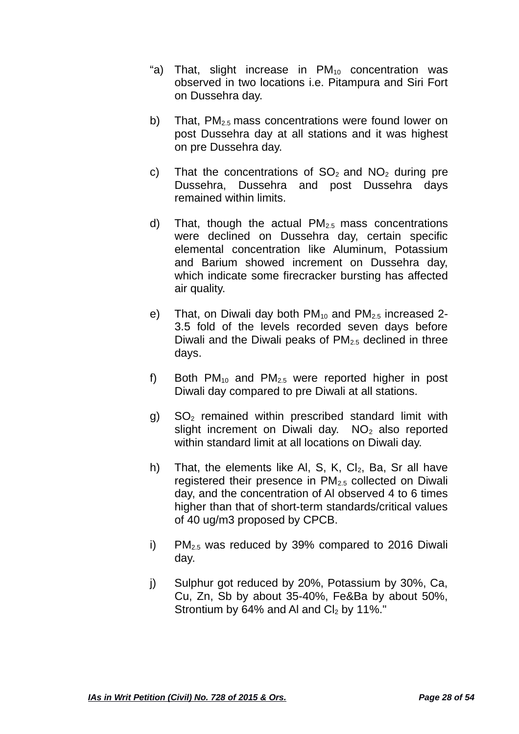- "a) That, slight increase in  $PM_{10}$  concentration was observed in two locations i.e. Pitampura and Siri Fort on Dussehra day.
- b) That,  $PM_{2.5}$  mass concentrations were found lower on post Dussehra day at all stations and it was highest on pre Dussehra day.
- c) That the concentrations of  $SO<sub>2</sub>$  and  $NO<sub>2</sub>$  during pre Dussehra, Dussehra and post Dussehra days remained within limits.
- d) That, though the actual  $PM<sub>2.5</sub>$  mass concentrations were declined on Dussehra day, certain specific elemental concentration like Aluminum, Potassium and Barium showed increment on Dussehra day, which indicate some firecracker bursting has affected air quality.
- e) That, on Diwali day both  $PM_{10}$  and  $PM_{2.5}$  increased 2-3.5 fold of the levels recorded seven days before Diwali and the Diwali peaks of  $PM<sub>2.5</sub>$  declined in three days.
- f) Both PM<sub>10</sub> and PM<sub>2.5</sub> were reported higher in post Diwali day compared to pre Diwali at all stations.
- $g$ ) SO<sub>2</sub> remained within prescribed standard limit with slight increment on Diwali day.  $NO<sub>2</sub>$  also reported within standard limit at all locations on Diwali day.
- h) That, the elements like Al, S, K, Cl<sub>2</sub>, Ba, Sr all have registered their presence in PM2.5 collected on Diwali day, and the concentration of Al observed 4 to 6 times higher than that of short-term standards/critical values of 40 ug/m3 proposed by CPCB.
- i) PM $_{2.5}$  was reduced by 39% compared to 2016 Diwali day.
- j) Sulphur got reduced by 20%, Potassium by 30%, Ca, Cu, Zn, Sb by about 35-40%, Fe&Ba by about 50%, Strontium by 64% and Al and  $Cl<sub>2</sub>$  by 11%."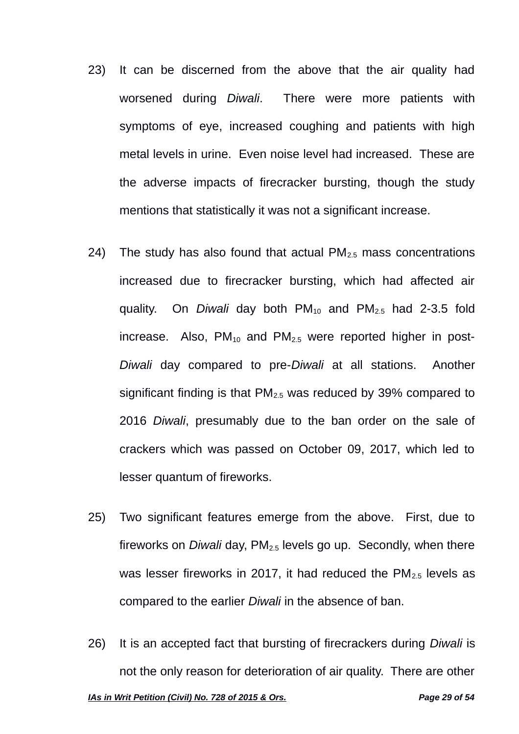- 23) It can be discerned from the above that the air quality had worsened during *Diwali*. There were more patients with symptoms of eye, increased coughing and patients with high metal levels in urine. Even noise level had increased. These are the adverse impacts of firecracker bursting, though the study mentions that statistically it was not a significant increase.
- 24) The study has also found that actual  $PM_{2.5}$  mass concentrations increased due to firecracker bursting, which had affected air quality. On *Diwali* day both PM<sub>10</sub> and PM<sub>2.5</sub> had 2-3.5 fold increase. Also,  $PM_{10}$  and  $PM_{2.5}$  were reported higher in post-*Diwali* day compared to pre-*Diwali* at all stations. Another significant finding is that  $PM_{2.5}$  was reduced by 39% compared to 2016 *Diwali*, presumably due to the ban order on the sale of crackers which was passed on October 09, 2017, which led to lesser quantum of fireworks.
- 25) Two significant features emerge from the above. First, due to fireworks on *Diwali* day, PM<sub>2.5</sub> levels go up. Secondly, when there was lesser fireworks in 2017, it had reduced the  $PM_{2.5}$  levels as compared to the earlier *Diwali* in the absence of ban.
- 26) It is an accepted fact that bursting of firecrackers during *Diwali* is not the only reason for deterioration of air quality. There are other *IAs in Writ Petition (Civil) No. 728 of 2015 & Ors. Page 29 of 54*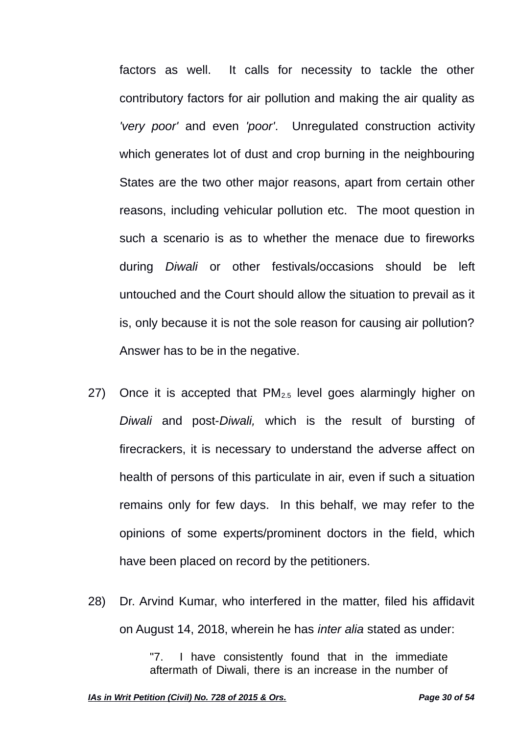factors as well. It calls for necessity to tackle the other contributory factors for air pollution and making the air quality as *'very poor'* and even *'poor'*. Unregulated construction activity which generates lot of dust and crop burning in the neighbouring States are the two other major reasons, apart from certain other reasons, including vehicular pollution etc. The moot question in such a scenario is as to whether the menace due to fireworks during *Diwali* or other festivals/occasions should be left untouched and the Court should allow the situation to prevail as it is, only because it is not the sole reason for causing air pollution? Answer has to be in the negative.

- 27) Once it is accepted that  $PM<sub>2.5</sub>$  level goes alarmingly higher on *Diwali* and post-*Diwali,* which is the result of bursting of firecrackers, it is necessary to understand the adverse affect on health of persons of this particulate in air, even if such a situation remains only for few days. In this behalf, we may refer to the opinions of some experts/prominent doctors in the field, which have been placed on record by the petitioners.
- 28) Dr. Arvind Kumar, who interfered in the matter, filed his affidavit on August 14, 2018, wherein he has *inter alia* stated as under:

"7. I have consistently found that in the immediate aftermath of Diwali, there is an increase in the number of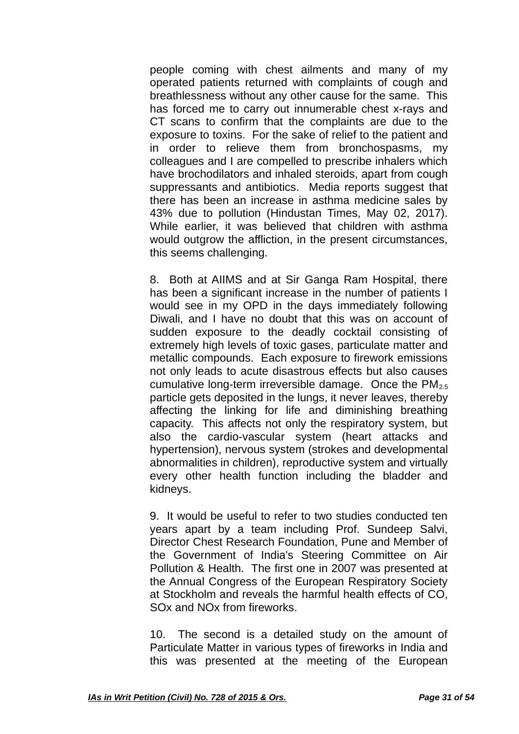people coming with chest ailments and many of my operated patients returned with complaints of cough and breathlessness without any other cause for the same. This has forced me to carry out innumerable chest x-rays and CT scans to confirm that the complaints are due to the exposure to toxins. For the sake of relief to the patient and in order to relieve them from bronchospasms, my colleagues and I are compelled to prescribe inhalers which have brochodilators and inhaled steroids, apart from cough suppressants and antibiotics. Media reports suggest that there has been an increase in asthma medicine sales by 43% due to pollution (Hindustan Times, May 02, 2017). While earlier, it was believed that children with asthma would outgrow the affliction, in the present circumstances, this seems challenging.

8. Both at AIIMS and at Sir Ganga Ram Hospital, there has been a significant increase in the number of patients I would see in my OPD in the days immediately following Diwali, and I have no doubt that this was on account of sudden exposure to the deadly cocktail consisting of extremely high levels of toxic gases, particulate matter and metallic compounds. Each exposure to firework emissions not only leads to acute disastrous effects but also causes cumulative long-term irreversible damage. Once the  $PM_{2.5}$ particle gets deposited in the lungs, it never leaves, thereby affecting the linking for life and diminishing breathing capacity. This affects not only the respiratory system, but also the cardio-vascular system (heart attacks and hypertension), nervous system (strokes and developmental abnormalities in children), reproductive system and virtually every other health function including the bladder and kidneys.

9. It would be useful to refer to two studies conducted ten years apart by a team including Prof. Sundeep Salvi, Director Chest Research Foundation, Pune and Member of the Government of India's Steering Committee on Air Pollution & Health. The first one in 2007 was presented at the Annual Congress of the European Respiratory Society at Stockholm and reveals the harmful health effects of CO, SOx and NOx from fireworks.

10. The second is a detailed study on the amount of Particulate Matter in various types of fireworks in India and this was presented at the meeting of the European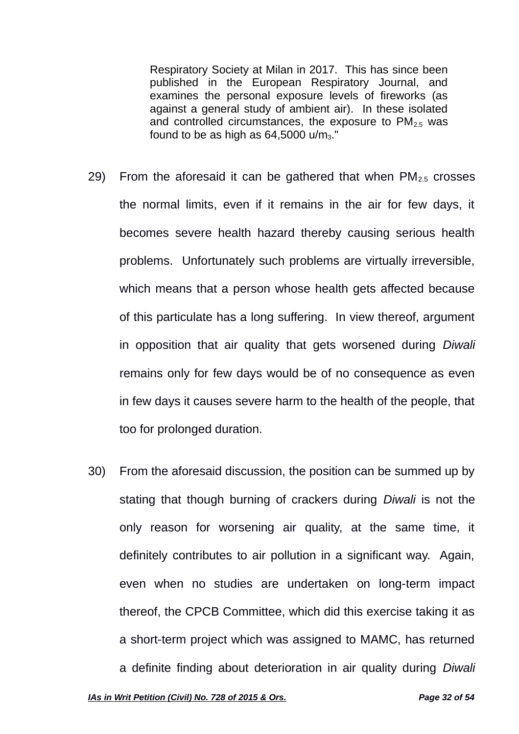Respiratory Society at Milan in 2017. This has since been published in the European Respiratory Journal, and examines the personal exposure levels of fireworks (as against a general study of ambient air). In these isolated and controlled circumstances, the exposure to  $PM<sub>2.5</sub>$  was found to be as high as  $64,5000$  u/m<sub>3</sub>."

- 29) From the aforesaid it can be gathered that when  $PM_{2.5}$  crosses the normal limits, even if it remains in the air for few days, it becomes severe health hazard thereby causing serious health problems. Unfortunately such problems are virtually irreversible, which means that a person whose health gets affected because of this particulate has a long suffering. In view thereof, argument in opposition that air quality that gets worsened during *Diwali* remains only for few days would be of no consequence as even in few days it causes severe harm to the health of the people, that too for prolonged duration.
- 30) From the aforesaid discussion, the position can be summed up by stating that though burning of crackers during *Diwali* is not the only reason for worsening air quality, at the same time, it definitely contributes to air pollution in a significant way. Again, even when no studies are undertaken on long-term impact thereof, the CPCB Committee, which did this exercise taking it as a short-term project which was assigned to MAMC, has returned a definite finding about deterioration in air quality during *Diwali*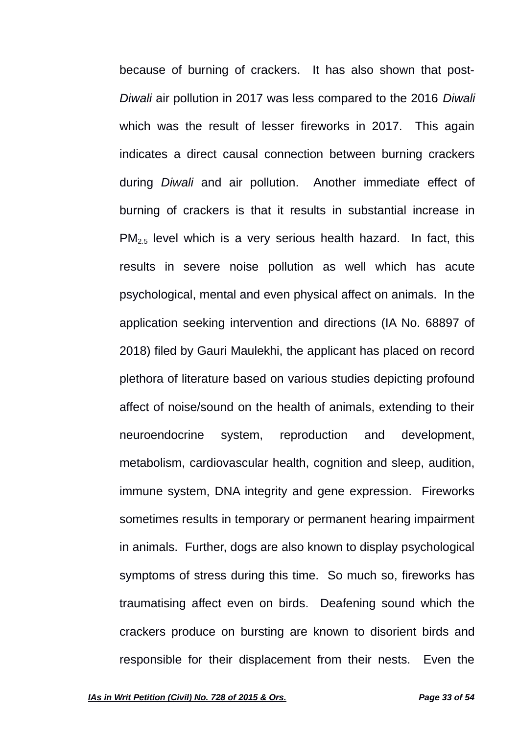because of burning of crackers. It has also shown that post-*Diwali* air pollution in 2017 was less compared to the 2016 *Diwali* which was the result of lesser fireworks in 2017. This again indicates a direct causal connection between burning crackers during *Diwali* and air pollution. Another immediate effect of burning of crackers is that it results in substantial increase in PM2.5 level which is a very serious health hazard. In fact, this results in severe noise pollution as well which has acute psychological, mental and even physical affect on animals. In the application seeking intervention and directions (IA No. 68897 of 2018) filed by Gauri Maulekhi, the applicant has placed on record plethora of literature based on various studies depicting profound affect of noise/sound on the health of animals, extending to their neuroendocrine system, reproduction and development, metabolism, cardiovascular health, cognition and sleep, audition, immune system, DNA integrity and gene expression. Fireworks sometimes results in temporary or permanent hearing impairment in animals. Further, dogs are also known to display psychological symptoms of stress during this time. So much so, fireworks has traumatising affect even on birds. Deafening sound which the crackers produce on bursting are known to disorient birds and responsible for their displacement from their nests. Even the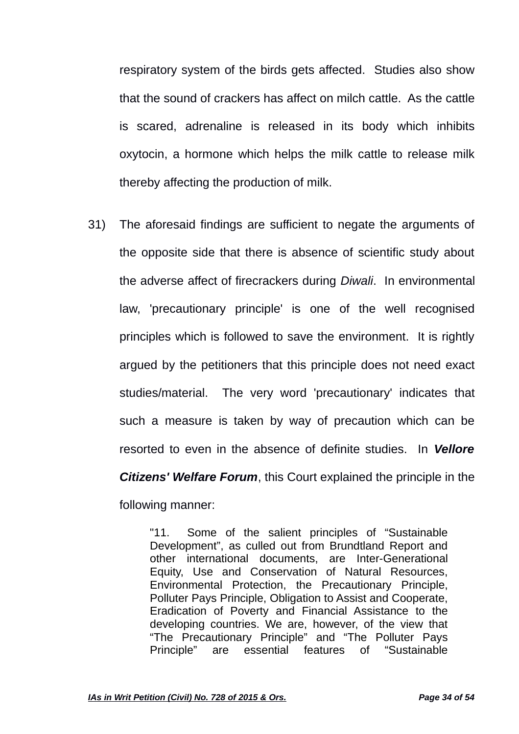respiratory system of the birds gets affected. Studies also show that the sound of crackers has affect on milch cattle. As the cattle is scared, adrenaline is released in its body which inhibits oxytocin, a hormone which helps the milk cattle to release milk thereby affecting the production of milk.

31) The aforesaid findings are sufficient to negate the arguments of the opposite side that there is absence of scientific study about the adverse affect of firecrackers during *Diwali*. In environmental law, 'precautionary principle' is one of the well recognised principles which is followed to save the environment. It is rightly argued by the petitioners that this principle does not need exact studies/material. The very word 'precautionary' indicates that such a measure is taken by way of precaution which can be resorted to even in the absence of definite studies. In *Vellore Citizens' Welfare Forum*, this Court explained the principle in the following manner:

> "11. Some of the salient principles of "Sustainable Development", as culled out from Brundtland Report and other international documents, are Inter-Generational Equity, Use and Conservation of Natural Resources, Environmental Protection, the Precautionary Principle, Polluter Pays Principle, Obligation to Assist and Cooperate, Eradication of Poverty and Financial Assistance to the developing countries. We are, however, of the view that "The Precautionary Principle" and "The Polluter Pays Principle" are essential features of "Sustainable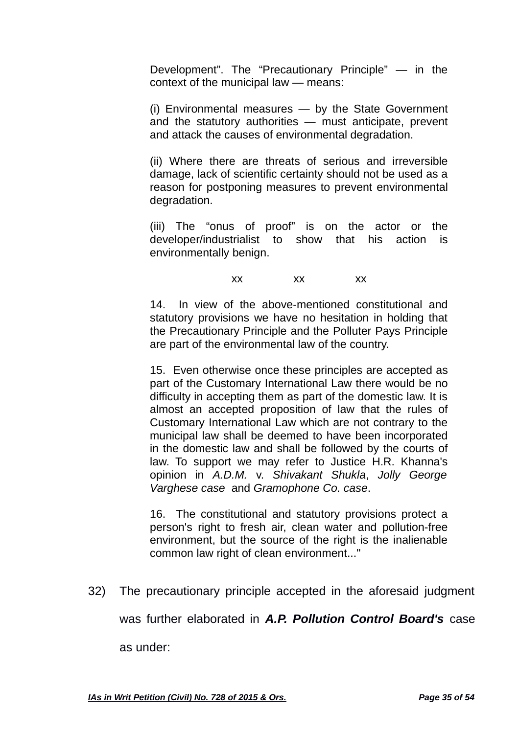Development". The "Precautionary Principle" — in the context of the municipal law — means:

(i) Environmental measures — by the State Government and the statutory authorities — must anticipate, prevent and attack the causes of environmental degradation.

(ii) Where there are threats of serious and irreversible damage, lack of scientific certainty should not be used as a reason for postponing measures to prevent environmental degradation.

(iii) The "onus of proof" is on the actor or the developer/industrialist to show that his action is environmentally benign.

xx xx xx

14. In view of the above-mentioned constitutional and statutory provisions we have no hesitation in holding that the Precautionary Principle and the Polluter Pays Principle are part of the environmental law of the country.

15. Even otherwise once these principles are accepted as part of the Customary International Law there would be no difficulty in accepting them as part of the domestic law. It is almost an accepted proposition of law that the rules of Customary International Law which are not contrary to the municipal law shall be deemed to have been incorporated in the domestic law and shall be followed by the courts of law. To support we may refer to Justice H.R. Khanna's opinion in *A.D.M.* v. *Shivakant Shukla*, *Jolly George Varghese case* and *Gramophone Co. case*.

16. The constitutional and statutory provisions protect a person's right to fresh air, clean water and pollution-free environment, but the source of the right is the inalienable common law right of clean environment..."

32) The precautionary principle accepted in the aforesaid judgment

was further elaborated in *A.P. Pollution Control Board's* case

as under: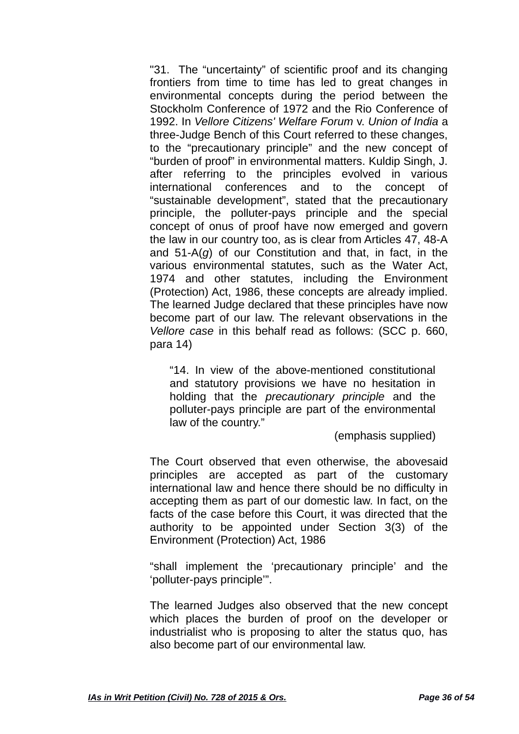"31. The "uncertainty" of scientific proof and its changing frontiers from time to time has led to great changes in environmental concepts during the period between the Stockholm Conference of 1972 and the Rio Conference of 1992. In *Vellore Citizens' Welfare Forum* v. *Union of India* a three-Judge Bench of this Court referred to these changes, to the "precautionary principle" and the new concept of "burden of proof" in environmental matters. Kuldip Singh, J. after referring to the principles evolved in various international conferences and to the concept of "sustainable development", stated that the precautionary principle, the polluter-pays principle and the special concept of onus of proof have now emerged and govern the law in our country too, as is clear from Articles 47, 48-A and 51-A(*g*) of our Constitution and that, in fact, in the various environmental statutes, such as the Water Act, 1974 and other statutes, including the Environment (Protection) Act, 1986, these concepts are already implied. The learned Judge declared that these principles have now become part of our law. The relevant observations in the *Vellore case* in this behalf read as follows: (SCC p. 660, para 14)

"14. In view of the above-mentioned constitutional and statutory provisions we have no hesitation in holding that the *precautionary principle* and the polluter-pays principle are part of the environmental law of the country."

(emphasis supplied)

The Court observed that even otherwise, the abovesaid principles are accepted as part of the customary international law and hence there should be no difficulty in accepting them as part of our domestic law. In fact, on the facts of the case before this Court, it was directed that the authority to be appointed under Section 3(3) of the Environment (Protection) Act, 1986

"shall implement the 'precautionary principle' and the 'polluter-pays principle'".

The learned Judges also observed that the new concept which places the burden of proof on the developer or industrialist who is proposing to alter the status quo, has also become part of our environmental law.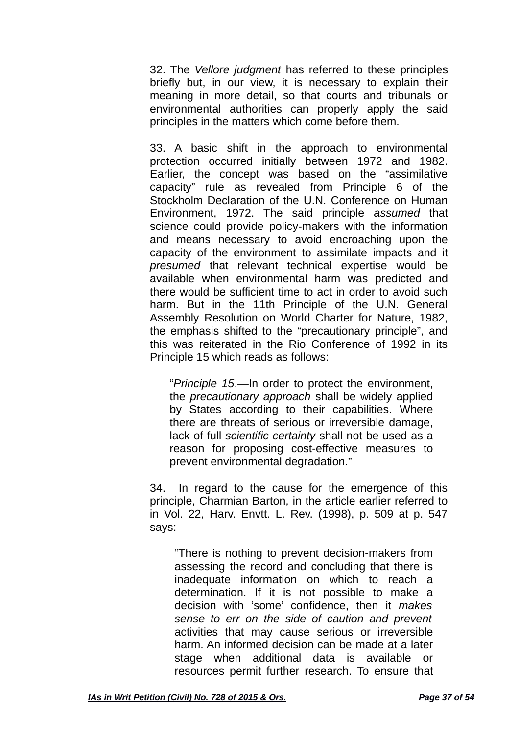32. The *Vellore judgment* has referred to these principles briefly but, in our view, it is necessary to explain their meaning in more detail, so that courts and tribunals or environmental authorities can properly apply the said principles in the matters which come before them.

33. A basic shift in the approach to environmental protection occurred initially between 1972 and 1982. Earlier, the concept was based on the "assimilative capacity" rule as revealed from Principle 6 of the Stockholm Declaration of the U.N. Conference on Human Environment, 1972. The said principle *assumed* that science could provide policy-makers with the information and means necessary to avoid encroaching upon the capacity of the environment to assimilate impacts and it *presumed* that relevant technical expertise would be available when environmental harm was predicted and there would be sufficient time to act in order to avoid such harm. But in the 11th Principle of the U.N. General Assembly Resolution on World Charter for Nature, 1982, the emphasis shifted to the "precautionary principle", and this was reiterated in the Rio Conference of 1992 in its Principle 15 which reads as follows:

"*Principle 15*.—In order to protect the environment, the *precautionary approach* shall be widely applied by States according to their capabilities. Where there are threats of serious or irreversible damage, lack of full *scientific certainty* shall not be used as a reason for proposing cost-effective measures to prevent environmental degradation."

34. In regard to the cause for the emergence of this principle, Charmian Barton, in the article earlier referred to in Vol. 22, Harv. Envtt. L. Rev. (1998), p. 509 at p. 547 says:

"There is nothing to prevent decision-makers from assessing the record and concluding that there is inadequate information on which to reach a determination. If it is not possible to make a decision with 'some' confidence, then it *makes sense to err on the side of caution and prevent* activities that may cause serious or irreversible harm. An informed decision can be made at a later stage when additional data is available or resources permit further research. To ensure that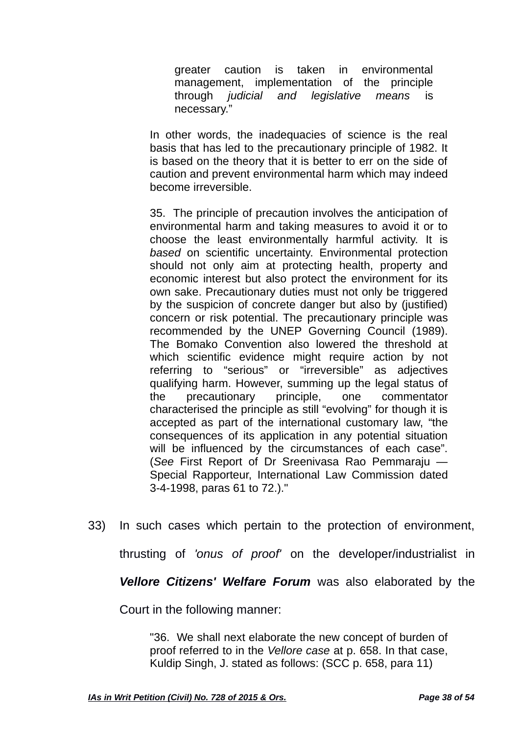greater caution is taken in environmental management, implementation of the principle through *judicial and legislative means* is necessary."

In other words, the inadequacies of science is the real basis that has led to the precautionary principle of 1982. It is based on the theory that it is better to err on the side of caution and prevent environmental harm which may indeed become irreversible.

35. The principle of precaution involves the anticipation of environmental harm and taking measures to avoid it or to choose the least environmentally harmful activity. It is *based* on scientific uncertainty. Environmental protection should not only aim at protecting health, property and economic interest but also protect the environment for its own sake. Precautionary duties must not only be triggered by the suspicion of concrete danger but also by (justified) concern or risk potential. The precautionary principle was recommended by the UNEP Governing Council (1989). The Bomako Convention also lowered the threshold at which scientific evidence might require action by not referring to "serious" or "irreversible" as adjectives qualifying harm. However, summing up the legal status of the precautionary principle, one commentator characterised the principle as still "evolving" for though it is accepted as part of the international customary law, "the consequences of its application in any potential situation will be influenced by the circumstances of each case". (*See* First Report of Dr Sreenivasa Rao Pemmaraju — Special Rapporteur, International Law Commission dated 3-4-1998, paras 61 to 72.)."

33) In such cases which pertain to the protection of environment,

thrusting of *'onus of proof'* on the developer/industrialist in

*Vellore Citizens' Welfare Forum* was also elaborated by the

Court in the following manner:

"36. We shall next elaborate the new concept of burden of proof referred to in the *Vellore case* at p. 658. In that case, Kuldip Singh, J. stated as follows: (SCC p. 658, para 11)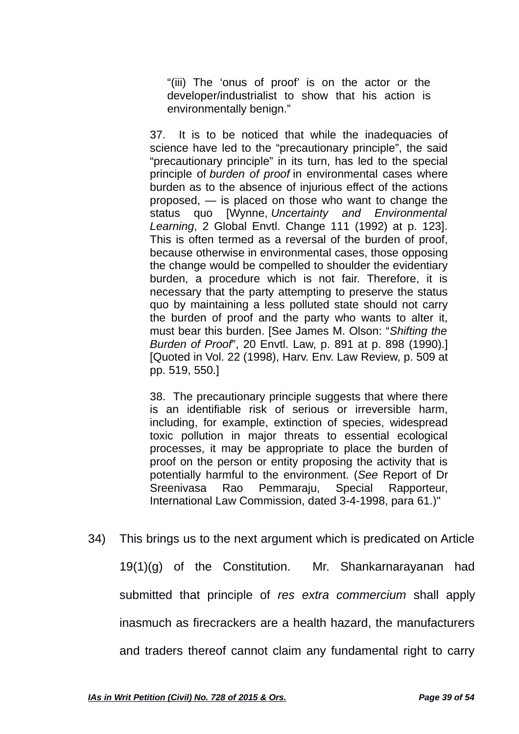"(iii) The 'onus of proof' is on the actor or the developer/industrialist to show that his action is environmentally benign."

37. It is to be noticed that while the inadequacies of science have led to the "precautionary principle", the said "precautionary principle" in its turn, has led to the special principle of *burden of proof* in environmental cases where burden as to the absence of injurious effect of the actions proposed, — is placed on those who want to change the status quo [Wynne, *Uncertainty and Environmental Learning*, 2 Global Envtl. Change 111 (1992) at p. 123]. This is often termed as a reversal of the burden of proof, because otherwise in environmental cases, those opposing the change would be compelled to shoulder the evidentiary burden, a procedure which is not fair. Therefore, it is necessary that the party attempting to preserve the status quo by maintaining a less polluted state should not carry the burden of proof and the party who wants to alter it, must bear this burden. [See James M. Olson: "*Shifting the Burden of Proof*", 20 Envtl. Law, p. 891 at p. 898 (1990).] [Quoted in Vol. 22 (1998), Harv. Env. Law Review, p. 509 at pp. 519, 550.]

38. The precautionary principle suggests that where there is an identifiable risk of serious or irreversible harm, including, for example, extinction of species, widespread toxic pollution in major threats to essential ecological processes, it may be appropriate to place the burden of proof on the person or entity proposing the activity that is potentially harmful to the environment. (*See* Report of Dr Sreenivasa Rao Pemmaraju, Special Rapporteur, International Law Commission, dated 3-4-1998, para 61.)"

34) This brings us to the next argument which is predicated on Article 19(1)(g) of the Constitution. Mr. Shankarnarayanan had submitted that principle of *res extra commercium* shall apply inasmuch as firecrackers are a health hazard, the manufacturers and traders thereof cannot claim any fundamental right to carry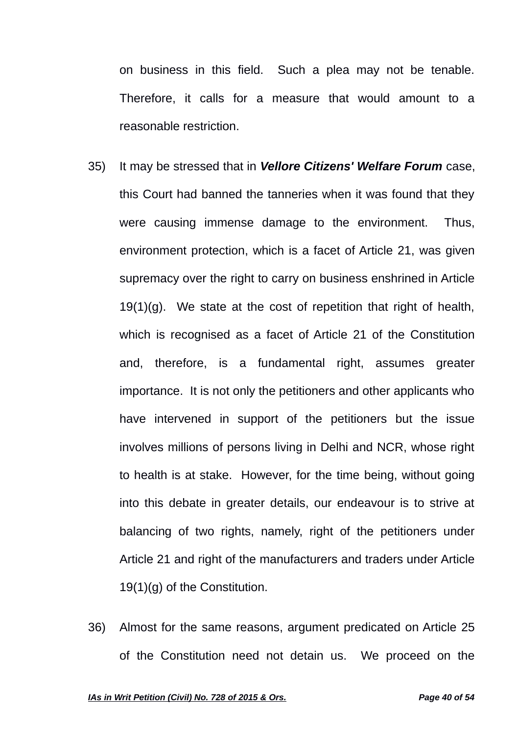on business in this field. Such a plea may not be tenable. Therefore, it calls for a measure that would amount to a reasonable restriction.

- 35) It may be stressed that in *Vellore Citizens' Welfare Forum* case, this Court had banned the tanneries when it was found that they were causing immense damage to the environment. Thus, environment protection, which is a facet of Article 21, was given supremacy over the right to carry on business enshrined in Article  $19(1)(g)$ . We state at the cost of repetition that right of health, which is recognised as a facet of Article 21 of the Constitution and, therefore, is a fundamental right, assumes greater importance. It is not only the petitioners and other applicants who have intervened in support of the petitioners but the issue involves millions of persons living in Delhi and NCR, whose right to health is at stake. However, for the time being, without going into this debate in greater details, our endeavour is to strive at balancing of two rights, namely, right of the petitioners under Article 21 and right of the manufacturers and traders under Article 19(1)(g) of the Constitution.
- 36) Almost for the same reasons, argument predicated on Article 25 of the Constitution need not detain us. We proceed on the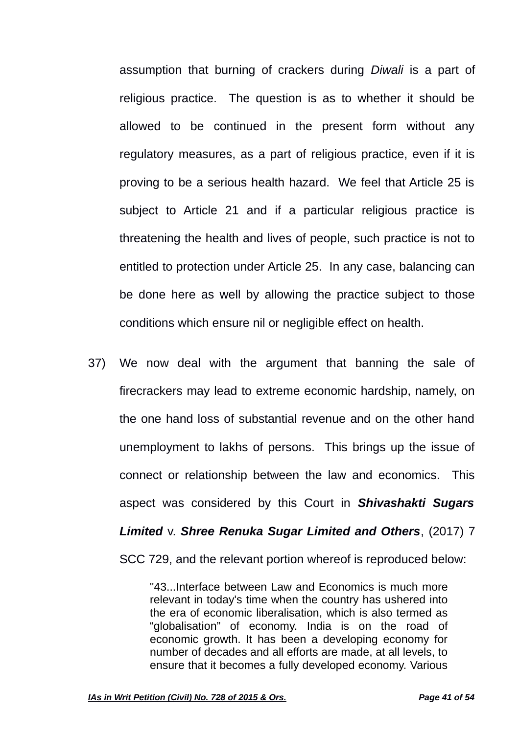assumption that burning of crackers during *Diwali* is a part of religious practice. The question is as to whether it should be allowed to be continued in the present form without any regulatory measures, as a part of religious practice, even if it is proving to be a serious health hazard. We feel that Article 25 is subject to Article 21 and if a particular religious practice is threatening the health and lives of people, such practice is not to entitled to protection under Article 25. In any case, balancing can be done here as well by allowing the practice subject to those conditions which ensure nil or negligible effect on health.

37) We now deal with the argument that banning the sale of firecrackers may lead to extreme economic hardship, namely, on the one hand loss of substantial revenue and on the other hand unemployment to lakhs of persons. This brings up the issue of connect or relationship between the law and economics. This aspect was considered by this Court in *Shivashakti Sugars Limited* v. *Shree Renuka Sugar Limited and Others*, (2017) 7 SCC 729, and the relevant portion whereof is reproduced below:

> "43...Interface between Law and Economics is much more relevant in today's time when the country has ushered into the era of economic liberalisation, which is also termed as "globalisation" of economy. India is on the road of economic growth. It has been a developing economy for number of decades and all efforts are made, at all levels, to ensure that it becomes a fully developed economy. Various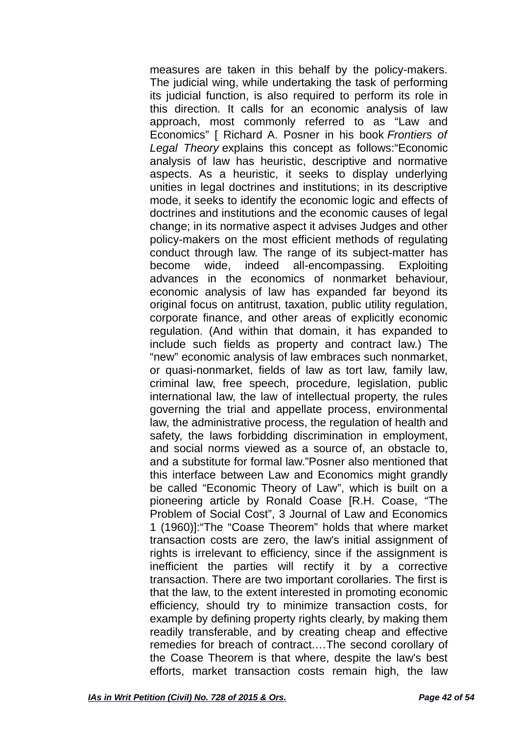measures are taken in this behalf by the policy-makers. The judicial wing, while undertaking the task of performing its judicial function, is also required to perform its role in this direction. It calls for an economic analysis of law approach, most commonly referred to as "Law and Economics" [ Richard A. Posner in his book *Frontiers of Legal Theory* explains this concept as follows:"Economic analysis of law has heuristic, descriptive and normative aspects. As a heuristic, it seeks to display underlying unities in legal doctrines and institutions; in its descriptive mode, it seeks to identify the economic logic and effects of doctrines and institutions and the economic causes of legal change; in its normative aspect it advises Judges and other policy-makers on the most efficient methods of regulating conduct through law. The range of its subject-matter has become wide, indeed all-encompassing. Exploiting advances in the economics of nonmarket behaviour, economic analysis of law has expanded far beyond its original focus on antitrust, taxation, public utility regulation, corporate finance, and other areas of explicitly economic regulation. (And within that domain, it has expanded to include such fields as property and contract law.) The "new" economic analysis of law embraces such nonmarket, or quasi-nonmarket, fields of law as tort law, family law, criminal law, free speech, procedure, legislation, public international law, the law of intellectual property, the rules governing the trial and appellate process, environmental law, the administrative process, the regulation of health and safety, the laws forbidding discrimination in employment, and social norms viewed as a source of, an obstacle to, and a substitute for formal law."Posner also mentioned that this interface between Law and Economics might grandly be called "Economic Theory of Law", which is built on a pioneering article by Ronald Coase [R.H. Coase, "The Problem of Social Cost", 3 Journal of Law and Economics 1 (1960)]:"The "Coase Theorem" holds that where market transaction costs are zero, the law's initial assignment of rights is irrelevant to efficiency, since if the assignment is inefficient the parties will rectify it by a corrective transaction. There are two important corollaries. The first is that the law, to the extent interested in promoting economic efficiency, should try to minimize transaction costs, for example by defining property rights clearly, by making them readily transferable, and by creating cheap and effective remedies for breach of contract.…The second corollary of the Coase Theorem is that where, despite the law's best efforts, market transaction costs remain high, the law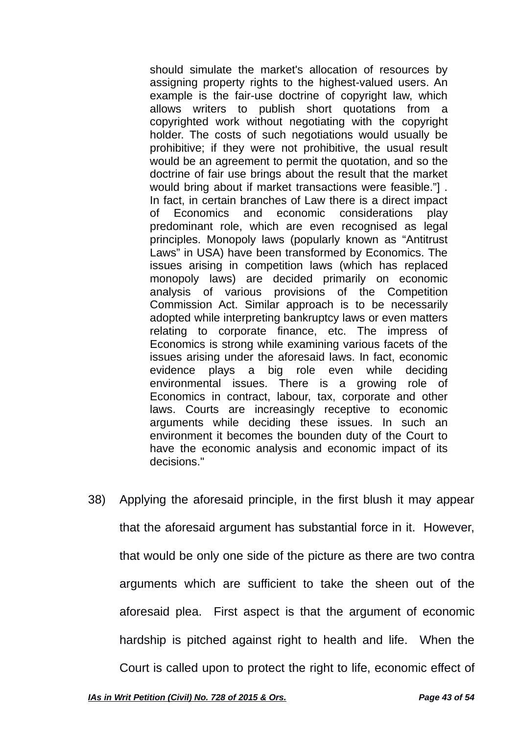should simulate the market's allocation of resources by assigning property rights to the highest-valued users. An example is the fair-use doctrine of copyright law, which allows writers to publish short quotations from a copyrighted work without negotiating with the copyright holder. The costs of such negotiations would usually be prohibitive; if they were not prohibitive, the usual result would be an agreement to permit the quotation, and so the doctrine of fair use brings about the result that the market would bring about if market transactions were feasible."] . In fact, in certain branches of Law there is a direct impact of Economics and economic considerations play predominant role, which are even recognised as legal principles. Monopoly laws (popularly known as "Antitrust Laws" in USA) have been transformed by Economics. The issues arising in competition laws (which has replaced monopoly laws) are decided primarily on economic analysis of various provisions of the Competition Commission Act. Similar approach is to be necessarily adopted while interpreting bankruptcy laws or even matters relating to corporate finance, etc. The impress of Economics is strong while examining various facets of the issues arising under the aforesaid laws. In fact, economic evidence plays a big role even while deciding environmental issues. There is a growing role of Economics in contract, labour, tax, corporate and other laws. Courts are increasingly receptive to economic arguments while deciding these issues. In such an environment it becomes the bounden duty of the Court to have the economic analysis and economic impact of its decisions."

38) Applying the aforesaid principle, in the first blush it may appear that the aforesaid argument has substantial force in it. However, that would be only one side of the picture as there are two contra arguments which are sufficient to take the sheen out of the aforesaid plea. First aspect is that the argument of economic hardship is pitched against right to health and life. When the Court is called upon to protect the right to life, economic effect of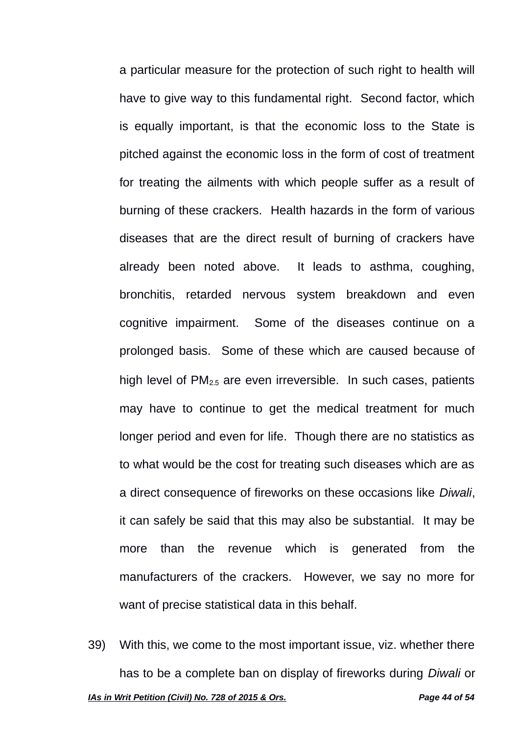a particular measure for the protection of such right to health will have to give way to this fundamental right. Second factor, which is equally important, is that the economic loss to the State is pitched against the economic loss in the form of cost of treatment for treating the ailments with which people suffer as a result of burning of these crackers. Health hazards in the form of various diseases that are the direct result of burning of crackers have already been noted above. It leads to asthma, coughing, bronchitis, retarded nervous system breakdown and even cognitive impairment. Some of the diseases continue on a prolonged basis. Some of these which are caused because of high level of PM<sub>2.5</sub> are even irreversible. In such cases, patients may have to continue to get the medical treatment for much longer period and even for life. Though there are no statistics as to what would be the cost for treating such diseases which are as a direct consequence of fireworks on these occasions like *Diwali*, it can safely be said that this may also be substantial. It may be more than the revenue which is generated from the manufacturers of the crackers. However, we say no more for want of precise statistical data in this behalf.

39) With this, we come to the most important issue, viz. whether there has to be a complete ban on display of fireworks during *Diwali* or *IAs in Writ Petition (Civil) No. 728 of 2015 & Ors. Page 44 of 54*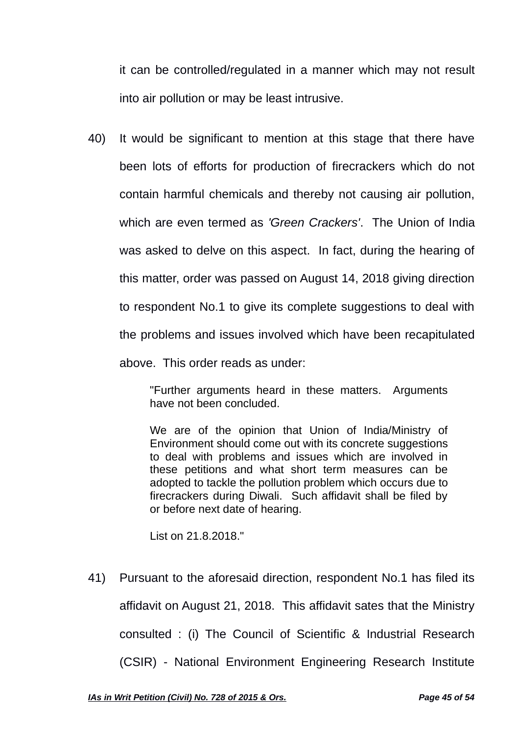it can be controlled/regulated in a manner which may not result into air pollution or may be least intrusive.

40) It would be significant to mention at this stage that there have been lots of efforts for production of firecrackers which do not contain harmful chemicals and thereby not causing air pollution, which are even termed as *'Green Crackers'*. The Union of India was asked to delve on this aspect. In fact, during the hearing of this matter, order was passed on August 14, 2018 giving direction to respondent No.1 to give its complete suggestions to deal with the problems and issues involved which have been recapitulated above. This order reads as under:

> "Further arguments heard in these matters. Arguments have not been concluded.

> We are of the opinion that Union of India/Ministry of Environment should come out with its concrete suggestions to deal with problems and issues which are involved in these petitions and what short term measures can be adopted to tackle the pollution problem which occurs due to firecrackers during Diwali. Such affidavit shall be filed by or before next date of hearing.

List on 21.8.2018."

41) Pursuant to the aforesaid direction, respondent No.1 has filed its affidavit on August 21, 2018. This affidavit sates that the Ministry consulted : (i) The Council of Scientific & Industrial Research (CSIR) - National Environment Engineering Research Institute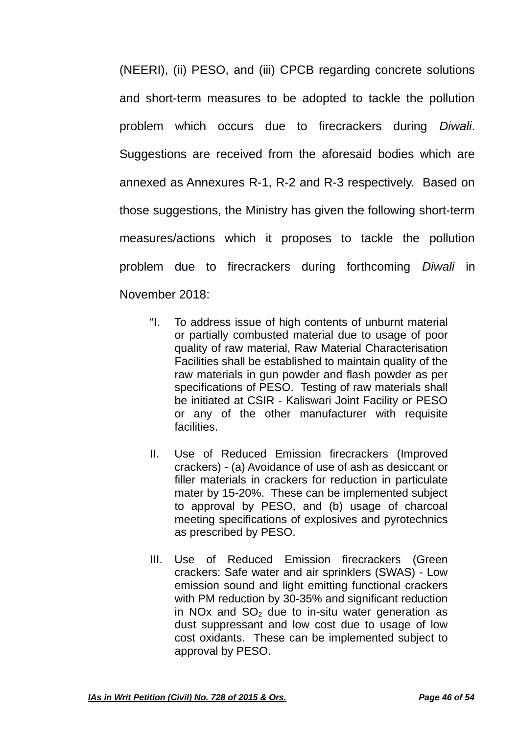(NEERI), (ii) PESO, and (iii) CPCB regarding concrete solutions and short-term measures to be adopted to tackle the pollution problem which occurs due to firecrackers during *Diwali*. Suggestions are received from the aforesaid bodies which are annexed as Annexures R-1, R-2 and R-3 respectively. Based on those suggestions, the Ministry has given the following short-term measures/actions which it proposes to tackle the pollution problem due to firecrackers during forthcoming *Diwali* in November 2018:

- "I. To address issue of high contents of unburnt material or partially combusted material due to usage of poor quality of raw material, Raw Material Characterisation Facilities shall be established to maintain quality of the raw materials in gun powder and flash powder as per specifications of PESO. Testing of raw materials shall be initiated at CSIR - Kaliswari Joint Facility or PESO or any of the other manufacturer with requisite facilities.
- II. Use of Reduced Emission firecrackers (Improved crackers) - (a) Avoidance of use of ash as desiccant or filler materials in crackers for reduction in particulate mater by 15-20%. These can be implemented subject to approval by PESO, and (b) usage of charcoal meeting specifications of explosives and pyrotechnics as prescribed by PESO.
- III. Use of Reduced Emission firecrackers (Green crackers: Safe water and air sprinklers (SWAS) - Low emission sound and light emitting functional crackers with PM reduction by 30-35% and significant reduction in NO<sub>x</sub> and SO<sub>2</sub> due to in-situ water generation as dust suppressant and low cost due to usage of low cost oxidants. These can be implemented subject to approval by PESO.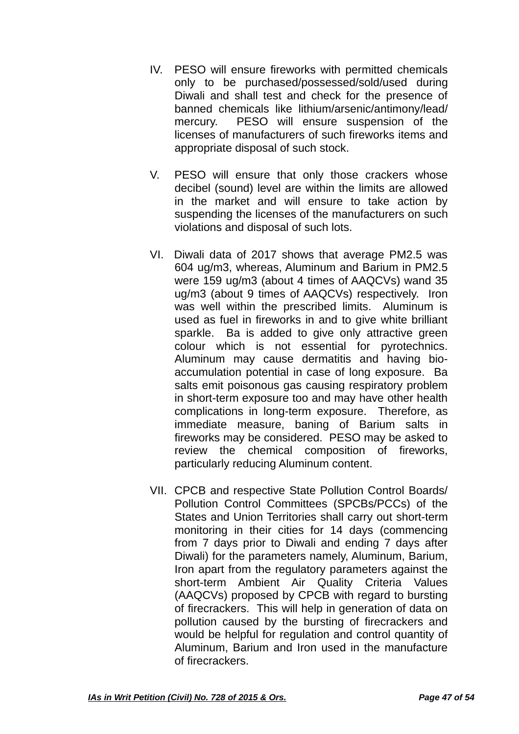- IV. PESO will ensure fireworks with permitted chemicals only to be purchased/possessed/sold/used during Diwali and shall test and check for the presence of banned chemicals like lithium/arsenic/antimony/lead/ mercury. PESO will ensure suspension of the licenses of manufacturers of such fireworks items and appropriate disposal of such stock.
- V. PESO will ensure that only those crackers whose decibel (sound) level are within the limits are allowed in the market and will ensure to take action by suspending the licenses of the manufacturers on such violations and disposal of such lots.
- VI. Diwali data of 2017 shows that average PM2.5 was 604 ug/m3, whereas, Aluminum and Barium in PM2.5 were 159 ug/m3 (about 4 times of AAQCVs) wand 35 ug/m3 (about 9 times of AAQCVs) respectively. Iron was well within the prescribed limits. Aluminum is used as fuel in fireworks in and to give white brilliant sparkle. Ba is added to give only attractive green colour which is not essential for pyrotechnics. Aluminum may cause dermatitis and having bioaccumulation potential in case of long exposure. Ba salts emit poisonous gas causing respiratory problem in short-term exposure too and may have other health complications in long-term exposure. Therefore, as immediate measure, baning of Barium salts in fireworks may be considered. PESO may be asked to review the chemical composition of fireworks, particularly reducing Aluminum content.
- VII. CPCB and respective State Pollution Control Boards/ Pollution Control Committees (SPCBs/PCCs) of the States and Union Territories shall carry out short-term monitoring in their cities for 14 days (commencing from 7 days prior to Diwali and ending 7 days after Diwali) for the parameters namely, Aluminum, Barium, Iron apart from the regulatory parameters against the short-term Ambient Air Quality Criteria Values (AAQCVs) proposed by CPCB with regard to bursting of firecrackers. This will help in generation of data on pollution caused by the bursting of firecrackers and would be helpful for regulation and control quantity of Aluminum, Barium and Iron used in the manufacture of firecrackers.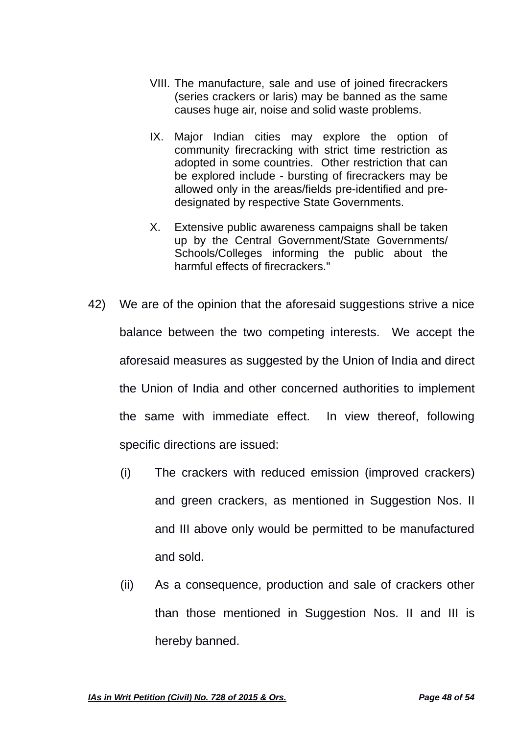- VIII. The manufacture, sale and use of joined firecrackers (series crackers or laris) may be banned as the same causes huge air, noise and solid waste problems.
- IX. Major Indian cities may explore the option of community firecracking with strict time restriction as adopted in some countries. Other restriction that can be explored include - bursting of firecrackers may be allowed only in the areas/fields pre-identified and predesignated by respective State Governments.
- X. Extensive public awareness campaigns shall be taken up by the Central Government/State Governments/ Schools/Colleges informing the public about the harmful effects of firecrackers."
- 42) We are of the opinion that the aforesaid suggestions strive a nice balance between the two competing interests. We accept the aforesaid measures as suggested by the Union of India and direct the Union of India and other concerned authorities to implement the same with immediate effect. In view thereof, following specific directions are issued:
	- (i) The crackers with reduced emission (improved crackers) and green crackers, as mentioned in Suggestion Nos. II and III above only would be permitted to be manufactured and sold.
	- (ii) As a consequence, production and sale of crackers other than those mentioned in Suggestion Nos. II and III is hereby banned.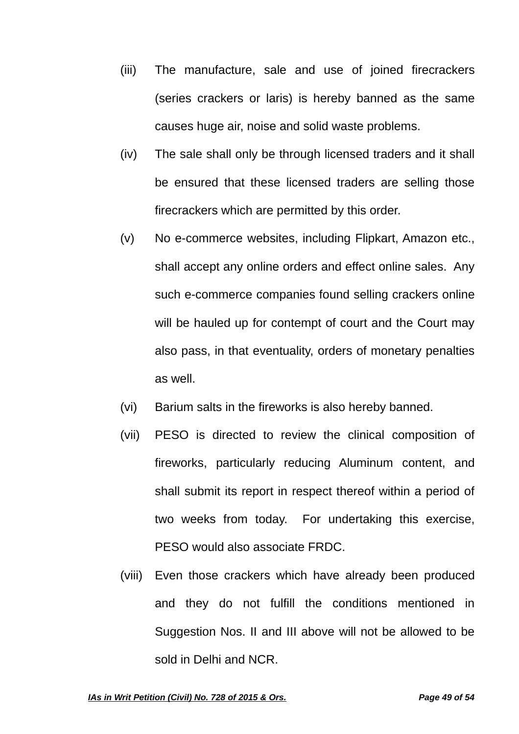- (iii) The manufacture, sale and use of joined firecrackers (series crackers or laris) is hereby banned as the same causes huge air, noise and solid waste problems.
- (iv) The sale shall only be through licensed traders and it shall be ensured that these licensed traders are selling those firecrackers which are permitted by this order.
- (v) No e-commerce websites, including Flipkart, Amazon etc., shall accept any online orders and effect online sales. Any such e-commerce companies found selling crackers online will be hauled up for contempt of court and the Court may also pass, in that eventuality, orders of monetary penalties as well.
- (vi) Barium salts in the fireworks is also hereby banned.
- (vii) PESO is directed to review the clinical composition of fireworks, particularly reducing Aluminum content, and shall submit its report in respect thereof within a period of two weeks from today. For undertaking this exercise, PESO would also associate FRDC.
- (viii) Even those crackers which have already been produced and they do not fulfill the conditions mentioned in Suggestion Nos. II and III above will not be allowed to be sold in Delhi and NCR.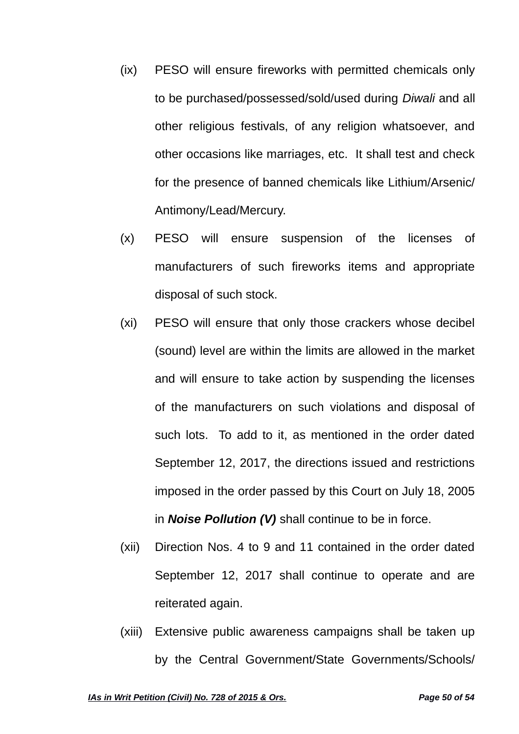- (ix) PESO will ensure fireworks with permitted chemicals only to be purchased/possessed/sold/used during *Diwali* and all other religious festivals, of any religion whatsoever, and other occasions like marriages, etc. It shall test and check for the presence of banned chemicals like Lithium/Arsenic/ Antimony/Lead/Mercury.
- (x) PESO will ensure suspension of the licenses of manufacturers of such fireworks items and appropriate disposal of such stock.
- (xi) PESO will ensure that only those crackers whose decibel (sound) level are within the limits are allowed in the market and will ensure to take action by suspending the licenses of the manufacturers on such violations and disposal of such lots. To add to it, as mentioned in the order dated September 12, 2017, the directions issued and restrictions imposed in the order passed by this Court on July 18, 2005 in *Noise Pollution (V)* shall continue to be in force.
- (xii) Direction Nos. 4 to 9 and 11 contained in the order dated September 12, 2017 shall continue to operate and are reiterated again.
- (xiii) Extensive public awareness campaigns shall be taken up by the Central Government/State Governments/Schools/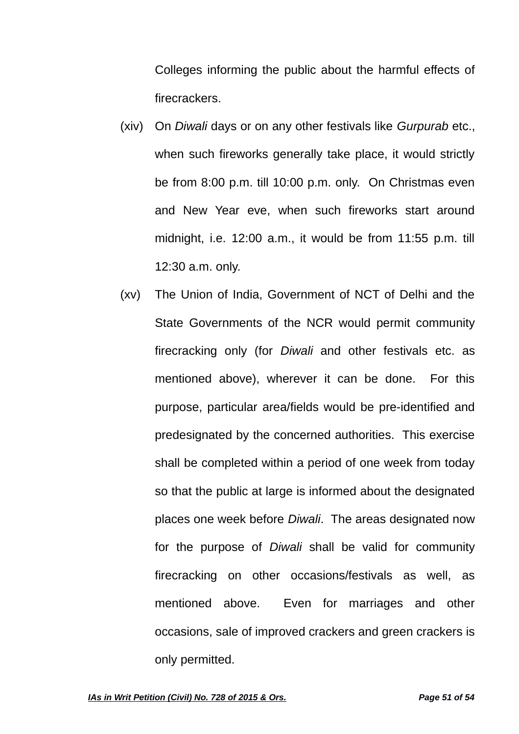Colleges informing the public about the harmful effects of firecrackers.

- (xiv) On *Diwali* days or on any other festivals like *Gurpurab* etc., when such fireworks generally take place, it would strictly be from 8:00 p.m. till 10:00 p.m. only. On Christmas even and New Year eve, when such fireworks start around midnight, i.e. 12:00 a.m., it would be from 11:55 p.m. till 12:30 a.m. only.
- (xv) The Union of India, Government of NCT of Delhi and the State Governments of the NCR would permit community firecracking only (for *Diwali* and other festivals etc. as mentioned above), wherever it can be done. For this purpose, particular area/fields would be pre-identified and predesignated by the concerned authorities. This exercise shall be completed within a period of one week from today so that the public at large is informed about the designated places one week before *Diwali*. The areas designated now for the purpose of *Diwali* shall be valid for community firecracking on other occasions/festivals as well, as mentioned above. Even for marriages and other occasions, sale of improved crackers and green crackers is only permitted.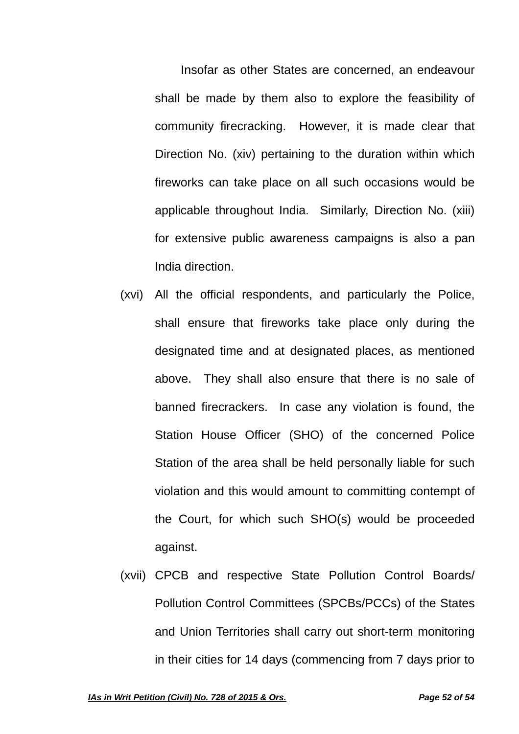Insofar as other States are concerned, an endeavour shall be made by them also to explore the feasibility of community firecracking. However, it is made clear that Direction No. (xiv) pertaining to the duration within which fireworks can take place on all such occasions would be applicable throughout India. Similarly, Direction No. (xiii) for extensive public awareness campaigns is also a pan India direction.

- (xvi) All the official respondents, and particularly the Police, shall ensure that fireworks take place only during the designated time and at designated places, as mentioned above. They shall also ensure that there is no sale of banned firecrackers. In case any violation is found, the Station House Officer (SHO) of the concerned Police Station of the area shall be held personally liable for such violation and this would amount to committing contempt of the Court, for which such SHO(s) would be proceeded against.
- (xvii) CPCB and respective State Pollution Control Boards/ Pollution Control Committees (SPCBs/PCCs) of the States and Union Territories shall carry out short-term monitoring in their cities for 14 days (commencing from 7 days prior to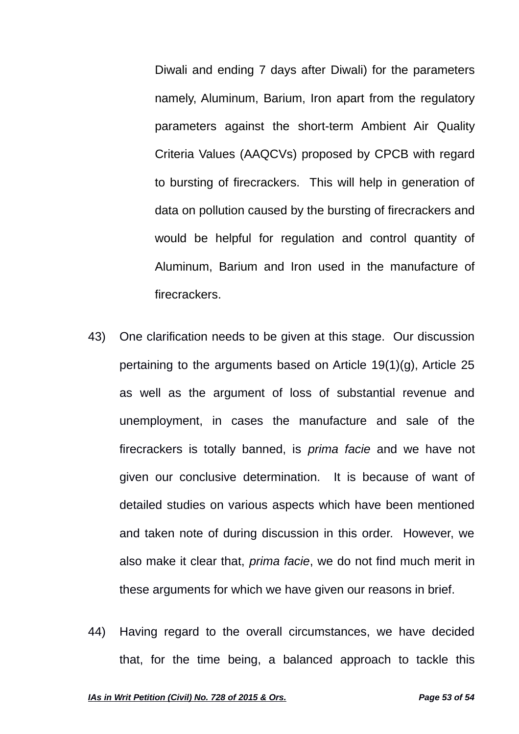Diwali and ending 7 days after Diwali) for the parameters namely, Aluminum, Barium, Iron apart from the regulatory parameters against the short-term Ambient Air Quality Criteria Values (AAQCVs) proposed by CPCB with regard to bursting of firecrackers. This will help in generation of data on pollution caused by the bursting of firecrackers and would be helpful for regulation and control quantity of Aluminum, Barium and Iron used in the manufacture of firecrackers.

- 43) One clarification needs to be given at this stage. Our discussion pertaining to the arguments based on Article 19(1)(g), Article 25 as well as the argument of loss of substantial revenue and unemployment, in cases the manufacture and sale of the firecrackers is totally banned, is *prima facie* and we have not given our conclusive determination. It is because of want of detailed studies on various aspects which have been mentioned and taken note of during discussion in this order. However, we also make it clear that, *prima facie*, we do not find much merit in these arguments for which we have given our reasons in brief.
- 44) Having regard to the overall circumstances, we have decided that, for the time being, a balanced approach to tackle this